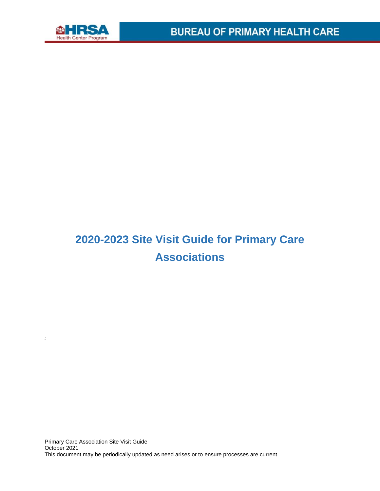

.

## **2020-2023 Site Visit Guide for Primary Care Associations**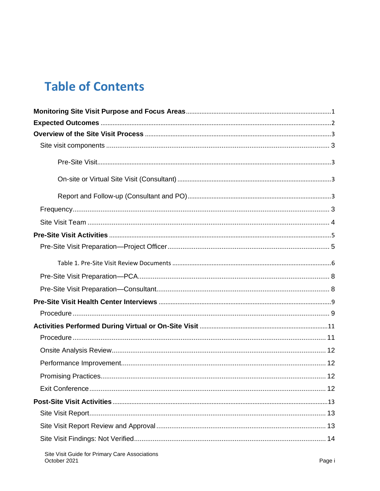## **Table of Contents**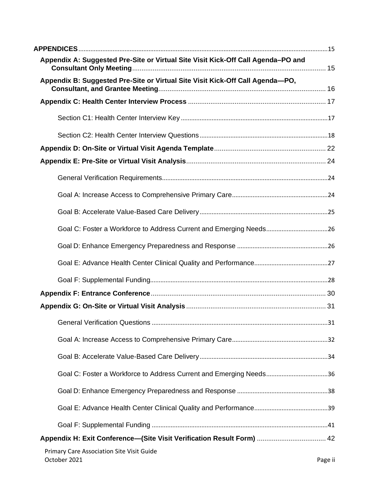| Appendix A: Suggested Pre-Site or Virtual Site Visit Kick-Off Call Agenda-PO and |         |
|----------------------------------------------------------------------------------|---------|
| Appendix B: Suggested Pre-Site or Virtual Site Visit Kick-Off Call Agenda-PO,    |         |
|                                                                                  |         |
|                                                                                  |         |
|                                                                                  |         |
|                                                                                  |         |
|                                                                                  |         |
|                                                                                  |         |
|                                                                                  |         |
|                                                                                  |         |
|                                                                                  |         |
|                                                                                  |         |
|                                                                                  |         |
|                                                                                  |         |
|                                                                                  |         |
|                                                                                  |         |
|                                                                                  |         |
|                                                                                  |         |
|                                                                                  |         |
| Goal C: Foster a Workforce to Address Current and Emerging Needs36               |         |
|                                                                                  |         |
|                                                                                  |         |
|                                                                                  |         |
| Appendix H: Exit Conference—(Site Visit Verification Result Form)  42            |         |
| Primary Care Association Site Visit Guide<br>October 2021                        | Page ii |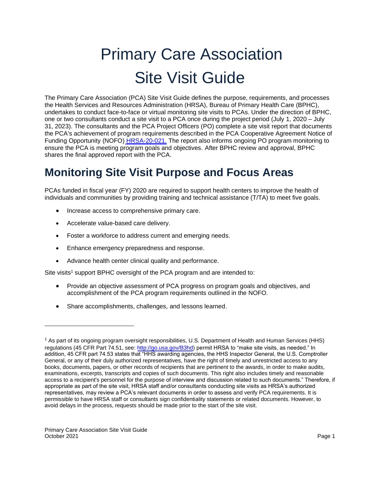# Primary Care Association Site Visit Guide

The Primary Care Association (PCA) Site Visit Guide defines the purpose, requirements, and processes the Health Services and Resources Administration (HRSA), Bureau of Primary Health Care (BPHC), undertakes to conduct face-to-face or virtual monitoring site visits to PCAs. Under the direction of BPHC, one or two consultants conduct a site visit to a PCA once during the project period (July 1, 2020 – July 31, 2023). The consultants and the PCA Project Officers (PO) complete a site visit report that documents the PCA's achievement of program requirements described in the PCA Cooperative Agreement Notice of Funding Opportunity (NOFO) [HRSA-20-021.](https://bphc.hrsa.gov/programopportunities/fundingopportunities/HCCN/hrsa-19-011-nofo.pdf) The report also informs ongoing PO program monitoring to ensure the PCA is meeting program goals and objectives. After BPHC review and approval, BPHC shares the final approved report with the PCA.

## <span id="page-4-0"></span>**Monitoring Site Visit Purpose and Focus Areas**

PCAs funded in fiscal year (FY) 2020 are required to support health centers to improve the health of individuals and communities by providing training and technical assistance (T/TA) to meet five goals.

- Increase access to comprehensive primary care.
- Accelerate value-based care delivery.
- Foster a workforce to address current and emerging needs.
- Enhance emergency preparedness and response.
- Advance health center clinical quality and performance.

Site visits<sup>1</sup> support BPHC oversight of the PCA program and are intended to:

- Provide an objective assessment of PCA progress on program goals and objectives, and accomplishment of the PCA program requirements outlined in the NOFO.
- Share accomplishments, challenges, and lessons learned.

<sup>1</sup> As part of its ongoing program oversight responsibilities, U.S. Department of Health and Human Services (HHS) regulations (45 CFR Part 74.51, see: [http://go.usa.gov/B3hd](https://www.ecfr.gov/current/title-45/part-74)) permit HRSA to "make site visits, as needed." In addition, 45 CFR part 74.53 states that "HHS awarding agencies, the HHS Inspector General, the U.S. Comptroller General, or any of their duly authorized representatives, have the right of timely and unrestricted access to any books, documents, papers, or other records of recipients that are pertinent to the awards, in order to make audits, examinations, excerpts, transcripts and copies of such documents. This right also includes timely and reasonable access to a recipient's personnel for the purpose of interview and discussion related to such documents." Therefore, if appropriate as part of the site visit, HRSA staff and/or consultants conducting site visits as HRSA's authorized representatives, may review a PCA's relevant documents in order to assess and verify PCA requirements. It is permissible to have HRSA staff or consultants sign confidentiality statements or related documents. However, to avoid delays in the process, requests should be made prior to the start of the site visit.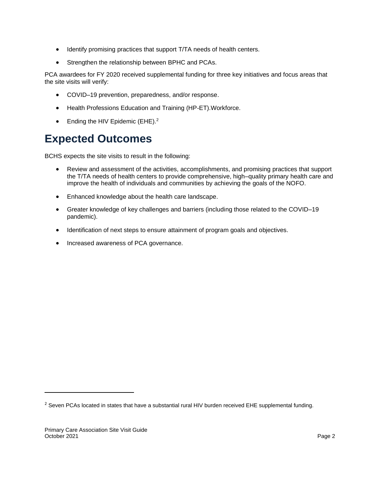- Identify promising practices that support T/TA needs of health centers.
- Strengthen the relationship between BPHC and PCAs.

PCA awardees for FY 2020 received supplemental funding for three key initiatives and focus areas that the site visits will verify:

- COVID–19 prevention, preparedness, and/or response.
- Health Professions Education and Training (HP-ET).Workforce.
- Ending the HIV Epidemic  $(EHE)^2$

## <span id="page-5-0"></span>**Expected Outcomes**

BCHS expects the site visits to result in the following:

- Review and assessment of the activities, accomplishments, and promising practices that support the T/TA needs of health centers to provide comprehensive, high–quality primary health care and improve the health of individuals and communities by achieving the goals of the NOFO.
- Enhanced knowledge about the health care landscape.
- Greater knowledge of key challenges and barriers (including those related to the COVID–19 pandemic).
- Identification of next steps to ensure attainment of program goals and objectives.
- Increased awareness of PCA governance.

<sup>&</sup>lt;sup>2</sup> Seven PCAs located in states that have a substantial rural HIV burden received EHE supplemental funding.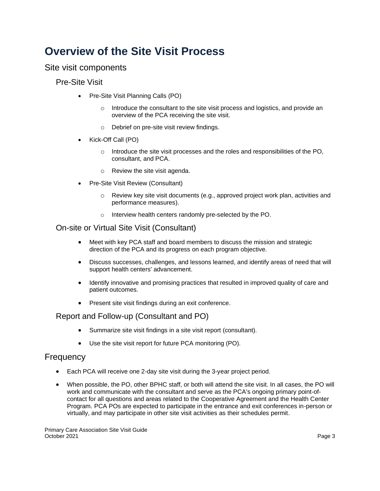## <span id="page-6-0"></span>**Overview of the Site Visit Process**

<span id="page-6-2"></span><span id="page-6-1"></span>Site visit components

Pre-Site Visit

- Pre-Site Visit Planning Calls (PO)
	- Introduce the consultant to the site visit process and logistics, and provide an overview of the PCA receiving the site visit.
	- Debrief on pre-site visit review findings.
- Kick-Off Call (PO)
	- Introduce the site visit processes and the roles and responsibilities of the PO, consultant, and PCA.
	- Review the site visit agenda.
- Pre-Site Visit Review (Consultant)
	- Review key site visit documents (e.g., approved project work plan, activities and performance measures).
	- Interview health centers randomly pre-selected by the PO.

### <span id="page-6-3"></span>On-site or Virtual Site Visit (Consultant)

- Meet with key PCA staff and board members to discuss the mission and strategic direction of the PCA and its progress on each program objective.
- Discuss successes, challenges, and lessons learned, and identify areas of need that will support health centers' advancement.
- Identify innovative and promising practices that resulted in improved quality of care and patient outcomes.
- Present site visit findings during an exit conference.

### <span id="page-6-4"></span>Report and Follow-up (Consultant and PO)

- Summarize site visit findings in a site visit report (consultant).
- Use the site visit report for future PCA monitoring (PO).

## <span id="page-6-5"></span>**Frequency**

- Each PCA will receive one 2-day site visit during the 3-year project period.
- When possible, the PO, other BPHC staff, or both will attend the site visit. In all cases, the PO will work and communicate with the consultant and serve as the PCA's ongoing primary point-ofcontact for all questions and areas related to the Cooperative Agreement and the Health Center Program. PCA POs are expected to participate in the entrance and exit conferences in-person or virtually, and may participate in other site visit activities as their schedules permit.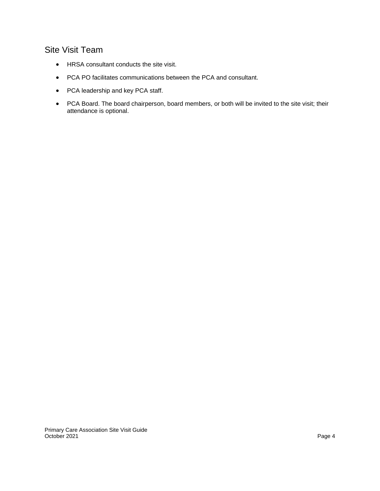## <span id="page-7-0"></span>Site Visit Team

- HRSA consultant conducts the site visit.
- PCA PO facilitates communications between the PCA and consultant.
- PCA leadership and key PCA staff.
- PCA Board. The board chairperson, board members, or both will be invited to the site visit; their attendance is optional.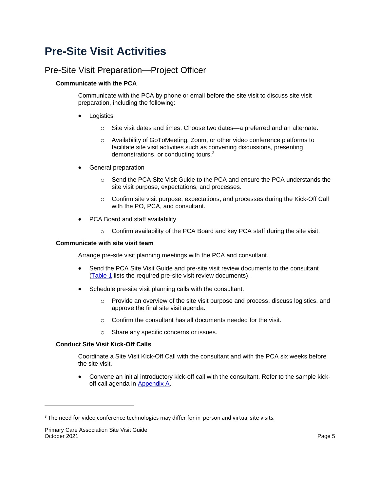## <span id="page-8-0"></span>**Pre-Site Visit Activities**

## <span id="page-8-1"></span>Pre-Site Visit Preparation—Project Officer

#### **Communicate with the PCA**

Communicate with the PCA by phone or email before the site visit to discuss site visit preparation, including the following:

- **Logistics** 
	- Site visit dates and times. Choose two dates—a preferred and an alternate.
	- Availability of GoToMeeting, Zoom, or other video conference platforms to facilitate site visit activities such as convening discussions, presenting demonstrations, or conducting tours.<sup>3</sup>
- General preparation
	- Send the PCA Site Visit Guide to the PCA and ensure the PCA understands the site visit purpose, expectations, and processes.
	- Confirm site visit purpose, expectations, and processes during the Kick-Off Call with the PO, PCA, and consultant.
- PCA Board and staff availability
	- Confirm availability of the PCA Board and key PCA staff during the site visit.

#### **Communicate with site visit team**

Arrange pre-site visit planning meetings with the PCA and consultant.

- Send the PCA Site Visit Guide and pre-site visit review documents to the consultant [\(Table 1](#page-9-0) lists the required pre-site visit review documents).
- Schedule pre-site visit planning calls with the consultant.
	- Provide an overview of the site visit purpose and process, discuss logistics, and approve the final site visit agenda.
	- Confirm the consultant has all documents needed for the visit.
	- Share any specific concerns or issues.

#### **Conduct Site Visit Kick-Off Calls**

Coordinate a Site Visit Kick-Off Call with the consultant and with the PCA six weeks before the site visit.

• Convene an initial introductory kick-off call with the consultant. Refer to the sample kickoff call agenda in [Appendix A.](#page-18-1)

<sup>&</sup>lt;sup>3</sup> The need for video conference technologies may differ for in-person and virtual site visits.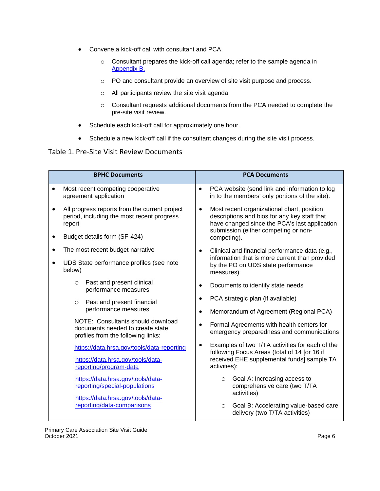- Convene a kick-off call with consultant and PCA.
	- Consultant prepares the kick-off call agenda; refer to the sample agenda in [Appendix B.](#page-19-1)
	- PO and consultant provide an overview of site visit purpose and process.
	- All participants review the site visit agenda.
	- Consultant requests additional documents from the PCA needed to complete the pre-site visit review.
- Schedule each kick-off call for approximately one hour.
- Schedule a new kick-off call if the consultant changes during the site visit process.

#### <span id="page-9-0"></span>Table 1. Pre-Site Visit Review Documents

| <b>BPHC Documents</b>                                                                                              | <b>PCA Documents</b>                                                                                                                                                                             |  |  |
|--------------------------------------------------------------------------------------------------------------------|--------------------------------------------------------------------------------------------------------------------------------------------------------------------------------------------------|--|--|
| Most recent competing cooperative<br>$\bullet$<br>agreement application                                            | PCA website (send link and information to log<br>$\bullet$<br>in to the members' only portions of the site).                                                                                     |  |  |
| All progress reports from the current project<br>$\bullet$<br>period, including the most recent progress<br>report | Most recent organizational chart, position<br>$\bullet$<br>descriptions and bios for any key staff that<br>have changed since the PCA's last application<br>submission (either competing or non- |  |  |
| Budget details form (SF-424)<br>$\bullet$                                                                          | competing).                                                                                                                                                                                      |  |  |
| The most recent budget narrative<br>$\bullet$                                                                      | Clinical and financial performance data (e.g.,                                                                                                                                                   |  |  |
| UDS State performance profiles (see note<br>below)                                                                 | information that is more current than provided<br>by the PO on UDS state performance<br>measures).                                                                                               |  |  |
| Past and present clinical<br>$\circ$<br>performance measures                                                       | Documents to identify state needs                                                                                                                                                                |  |  |
| Past and present financial<br>$\circ$                                                                              | PCA strategic plan (if available)                                                                                                                                                                |  |  |
| performance measures                                                                                               | Memorandum of Agreement (Regional PCA)<br>$\bullet$                                                                                                                                              |  |  |
| NOTE: Consultants should download<br>documents needed to create state<br>profiles from the following links:        | Formal Agreements with health centers for<br>emergency preparedness and communications                                                                                                           |  |  |
| https://data.hrsa.gov/tools/data-reporting                                                                         | Examples of two T/TA activities for each of the<br>following Focus Areas (total of 14 [or 16 if                                                                                                  |  |  |
| https://data.hrsa.gov/tools/data-<br>reporting/program-data                                                        | received EHE supplemental funds] sample TA<br>activities):                                                                                                                                       |  |  |
| https://data.hrsa.gov/tools/data-<br>reporting/special-populations                                                 | Goal A: Increasing access to<br>$\circ$<br>comprehensive care (two T/TA<br>activities)                                                                                                           |  |  |
| https://data.hrsa.gov/tools/data-<br>reporting/data-comparisons                                                    | Goal B: Accelerating value-based care<br>$\circ$<br>delivery (two T/TA activities)                                                                                                               |  |  |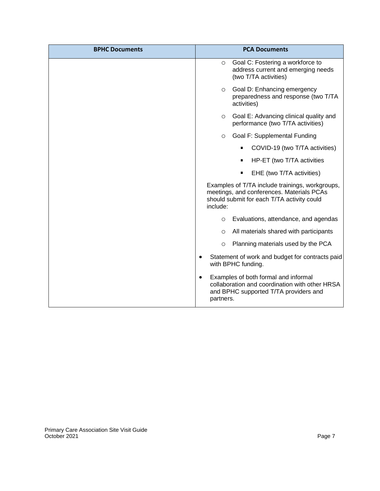| <b>BPHC Documents</b> | <b>PCA Documents</b>                                                                                                                                      |  |
|-----------------------|-----------------------------------------------------------------------------------------------------------------------------------------------------------|--|
|                       | Goal C: Fostering a workforce to<br>O<br>address current and emerging needs<br>(two T/TA activities)                                                      |  |
|                       | Goal D: Enhancing emergency<br>$\circ$<br>preparedness and response (two T/TA<br>activities)                                                              |  |
|                       | Goal E: Advancing clinical quality and<br>O<br>performance (two T/TA activities)                                                                          |  |
|                       | Goal F: Supplemental Funding<br>O                                                                                                                         |  |
|                       | COVID-19 (two T/TA activities)                                                                                                                            |  |
|                       | HP-ET (two T/TA activities                                                                                                                                |  |
|                       | EHE (two T/TA activities)                                                                                                                                 |  |
|                       | Examples of T/TA include trainings, workgroups,<br>meetings, and conferences. Materials PCAs<br>should submit for each T/TA activity could<br>include:    |  |
|                       | Evaluations, attendance, and agendas<br>$\circ$                                                                                                           |  |
|                       | All materials shared with participants<br>$\circ$                                                                                                         |  |
|                       | Planning materials used by the PCA<br>O                                                                                                                   |  |
|                       | Statement of work and budget for contracts paid<br>with BPHC funding.                                                                                     |  |
|                       | Examples of both formal and informal<br>$\bullet$<br>collaboration and coordination with other HRSA<br>and BPHC supported T/TA providers and<br>partners. |  |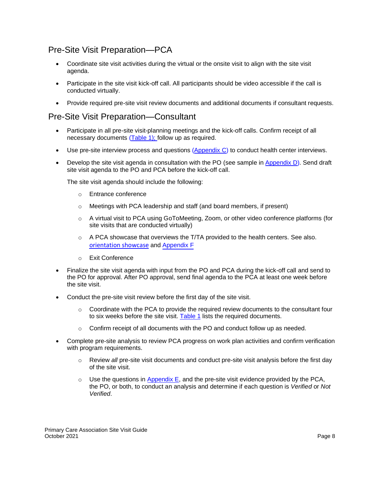## <span id="page-11-0"></span>Pre-Site Visit Preparation—PCA

- Coordinate site visit activities during the virtual or the onsite visit to align with the site visit agenda.
- Participate in the site visit kick-off call. All participants should be video accessible if the call is conducted virtually.
- Provide required pre-site visit review documents and additional documents if consultant requests.

## <span id="page-11-1"></span>Pre-Site Visit Preparation—Consultant

- Participate in all pre-site visit-planning meetings and the kick-off calls. Confirm receipt of all necessary documents [\(Table 1\)](#page-9-0); follow up as required.
- Use pre-site interview process and questions [\(Appendix C\)](#page-20-0) to conduct health center interviews.
- Develop the site visit agenda in consultation with the PO (see sample in [Appendix D\)](#page-25-1). Send draft site visit agenda to the PO and PCA before the kick-off call.

The site visit agenda should include the following:

- Entrance conference
- Meetings with PCA leadership and staff (and board members, if present)
- A virtual visit to PCA using GoToMeeting, Zoom, or other video conference platforms (for site visits that are conducted virtually)
- $\circ$  A PCA showcase that overviews the T/TA provided to the health centers. See also. [orientation showcase](#page-14-2) and [Appendix F](#page-33-0)
- Exit Conference
- Finalize the site visit agenda with input from the PO and PCA during the kick-off call and send to the PO for approval. After PO approval, send final agenda to the PCA at least one week before the site visit.
- Conduct the pre-site visit review before the first day of the site visit.
	- Coordinate with the PCA to provide the required review documents to the consultant four to six weeks before the site visit. [Table 1](#page-9-0) lists the required documents.
	- Confirm receipt of all documents with the PO and conduct follow up as needed.
- Complete pre-site analysis to review PCA progress on work plan activities and confirm verification with program requirements.
	- Review *all* pre-site visit documents and conduct pre-site visit analysis before the first day of the site visit.
	- Use the questions in [Appendix E,](#page-27-3) and the pre-site visit evidence provided by the PCA, the PO, or both, to conduct an analysis and determine if each question is *Verified* or *Not Verified*.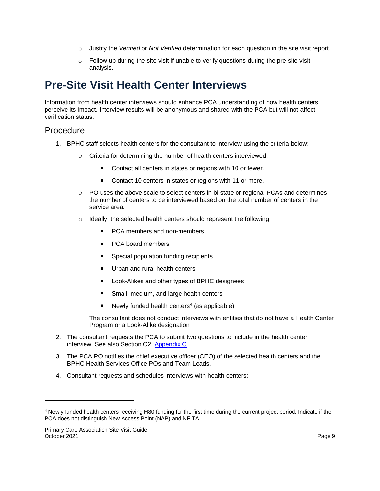- Justify the *Verified* or *Not Verified* determination for each question in the site visit report.
- Follow up during the site visit if unable to verify questions during the pre-site visit analysis.

## <span id="page-12-0"></span>**Pre-Site Visit Health Center Interviews**

Information from health center interviews should enhance PCA understanding of how health centers perceive its impact. Interview results will be anonymous and shared with the PCA but will not affect verification status.

## <span id="page-12-1"></span>Procedure

- 1. BPHC staff selects health centers for the consultant to interview using the criteria below:
	- Criteria for determining the number of health centers interviewed:
		- Contact all centers in states or regions with 10 or fewer.
		- $\blacksquare$ Contact 10 centers in states or regions with 11 or more.
	- PO uses the above scale to select centers in bi-state or regional PCAs and determines the number of centers to be interviewed based on the total number of centers in the service area.
	- Ideally, the selected health centers should represent the following:
		- PCA members and non-members
		- PCA board members
		- Special population funding recipients  $\blacksquare$
		- Urban and rural health centers
		- Look-Alikes and other types of BPHC designees  $\blacksquare$
		- Small, medium, and large health centers  $\blacksquare$
		- Newly funded health centers<sup>4</sup> (as applicable)

The consultant does not conduct interviews with entities that do not have a Health Center Program or a Look-Alike designation

- 2. The consultant requests the PCA to submit two questions to include in the health center interview. See also Section C2, [Appendix C](#page-20-0)
- 3. The PCA PO notifies the chief executive officer (CEO) of the selected health centers and the BPHC Health Services Office POs and Team Leads.
- 4. Consultant requests and schedules interviews with health centers:

<sup>4</sup> Newly funded health centers receiving H80 funding for the first time during the current project period. Indicate if the PCA does not distinguish New Access Point (NAP) and NF TA.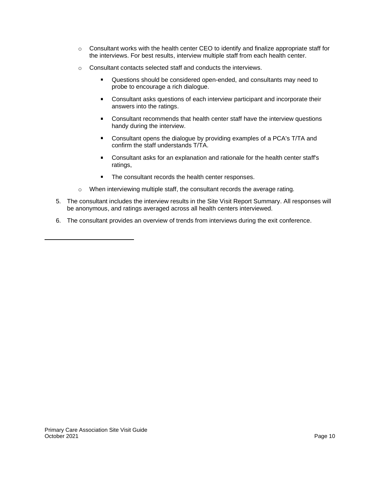- Consultant works with the health center CEO to identify and finalize appropriate staff for the interviews. For best results, interview multiple staff from each health center.
- Consultant contacts selected staff and conducts the interviews.
	- $\blacksquare$ Questions should be considered open-ended, and consultants may need to probe to encourage a rich dialogue.
	- Consultant asks questions of each interview participant and incorporate their  $\blacksquare$ answers into the ratings.
	- $\blacksquare$ Consultant recommends that health center staff have the interview questions handy during the interview.
	- Consultant opens the dialogue by providing examples of a PCA's T/TA and  $\blacksquare$ confirm the staff understands T/TA.
	- Consultant asks for an explanation and rationale for the health center staff's ratings,
	- The consultant records the health center responses.
- When interviewing multiple staff, the consultant records the average rating.
- 5. The consultant includes the interview results in the Site Visit Report Summary. All responses will be anonymous, and ratings averaged across all health centers interviewed.
- 6. The consultant provides an overview of trends from interviews during the exit conference.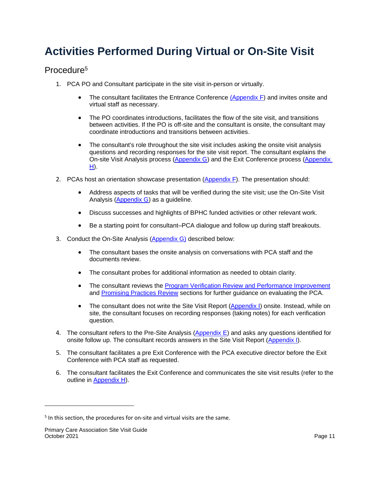## <span id="page-14-0"></span>**Activities Performed During Virtual or On-Site Visit**

## <span id="page-14-1"></span>Procedure<sup>5</sup>

- 1. PCA PO and Consultant participate in the site visit in-person or virtually.
	- The consultant facilitates the Entrance Conference [\(Appendix F\)](#page-33-0) and invites onsite and virtual staff as necessary.
	- The PO coordinates introductions, facilitates the flow of the site visit, and transitions between activities. If the PO is off-site and the consultant is onsite, the consultant may coordinate introductions and transitions between activities.
	- The consultant's role throughout the site visit includes asking the onsite visit analysis questions and recording responses for the site visit report. The consultant explains the On-site Visit Analysis process [\(Appendix G\)](#page-34-0) and the Exit Conference process [\(Appendix](#page-45-0)  [H\)](#page-45-0).
- <span id="page-14-2"></span>2. PCAs host an orientation showcase presentation  $(Appendix F)$ . The presentation should:
	- Address aspects of tasks that will be verified during the site visit; use the On-Site Visit Analysis [\(Appendix G\)](#page-34-0) as a guideline.
	- Discuss successes and highlights of BPHC funded activities or other relevant work.
	- Be a starting point for consultant–PCA dialogue and follow up during staff breakouts.
- 3. Conduct the On-Site Analysis [\(Appendix G\)](#page-34-0) described below:
	- The consultant bases the onsite analysis on conversations with PCA staff and the documents review.
	- The consultant probes for additional information as needed to obtain clarity.
	- The consultant reviews the [Program Verification Review and Performance Improvement](#page-34-1) and [Promising Practices Review](#page-62-2) sections for further guidance on evaluating the PCA.
	- The consultant does not write the Site Visit Report [\(Appendix I\)](#page-49-0) onsite. Instead, while on site, the consultant focuses on recording responses (taking notes) for each verification question.
- 4. The consultant refers to the Pre-Site Analysis  $(Appendix E)$  and asks any questions identified for onsite follow up. The consultant records answers in the Site Visit Report [\(Appendix I\)](#page-49-0).
- 5. The consultant facilitates a pre Exit Conference with the PCA executive director before the Exit Conference with PCA staff as requested.
- 6. The consultant facilitates the Exit Conference and communicates the site visit results (refer to the outline in [Appendix H\)](#page-45-0).

<sup>&</sup>lt;sup>5</sup> In this section, the procedures for on-site and virtual visits are the same.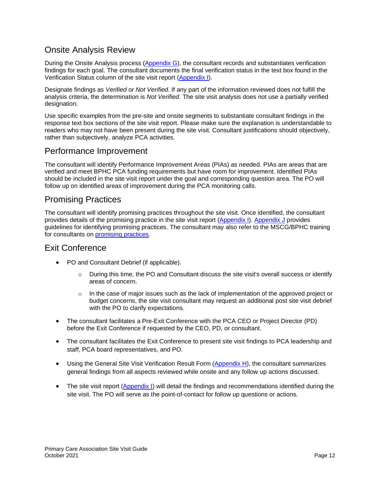## <span id="page-15-0"></span>Onsite Analysis Review

During the Onsite Analysis process [\(Appendix G\)](#page-34-0), the consultant records and substantiates verification findings for each goal. The consultant documents the final verification status in the text box found in the Verification Status column of the site visit report [\(Appendix I\)](#page-49-0).

Designate findings as *Verified* or *Not Verified.* If any part of the information reviewed does not fulfill the analysis criteria, the determination is *Not Verified*. The site visit analysis does not use a partially verified designation.

Use specific examples from the pre-site and onsite segments to substantiate consultant findings in the response text box sections of the site visit report. Please make sure the explanation is understandable to readers who may not have been present during the site visit. Consultant justifications should objectively, rather than subjectively, analyze PCA activities.

## <span id="page-15-1"></span>Performance Improvement

The consultant will identify Performance Improvement Areas (PIAs) as needed. PIAs are areas that are verified and meet BPHC PCA funding requirements but have room for improvement. Identified PIAs should be included in the site visit report under the goal and corresponding question area. The PO will follow up on identified areas of improvement during the PCA monitoring calls.

## <span id="page-15-2"></span>Promising Practices

The consultant will identify promising practices throughout the site visit. Once identified, the consultant provides details of the promising practice in the site visit report [\(Appendix I\)](#page-49-0). [Appendix J](#page-62-0) provides guidelines for identifying promising practices. The consultant may also refer to the MSCG/BPHC training for consultants on [promising practices.](https://www.mscginc.com/consultant/default.aspx?ReturnUrl=%2fconsultant)

### <span id="page-15-3"></span>Exit Conference

- PO and Consultant Debrief (if applicable).
	- During this time, the PO and Consultant discuss the site visit's overall success or identify areas of concern.
	- In the case of major issues such as the lack of implementation of the approved project or budget concerns, the site visit consultant may request an additional post site visit debrief with the PO to clarify expectations.
- The consultant facilitates a Pre-Exit Conference with the PCA CEO or Project Director (PD) before the Exit Conference if requested by the CEO, PD, or consultant.
- The consultant facilitates the Exit Conference to present site visit findings to PCA leadership and staff, PCA board representatives, and PO.
- Using the General Site Visit Verification Result Form [\(Appendix H\)](#page-45-0), the consultant summarizes general findings from all aspects reviewed while onsite and any follow up actions discussed.
- The site visit report [\(Appendix I\)](#page-49-0) will detail the findings and recommendations identified during the site visit. The PO will serve as the point-of-contact for follow up questions or actions.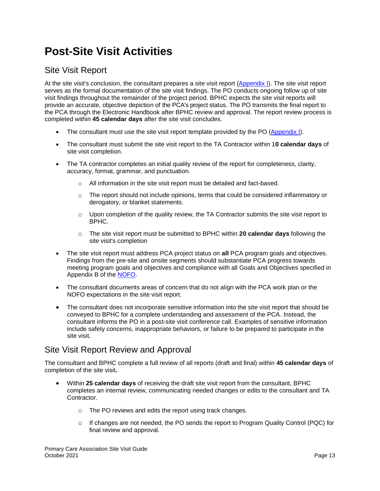## <span id="page-16-0"></span>**Post-Site Visit Activities**

## <span id="page-16-1"></span>Site Visit Report

At the site visit's conclusion, the consultant prepares a site visit report [\(Appendix I\)](#page-49-0). The site visit report serves as the formal documentation of the site visit findings. The PO conducts ongoing follow up of site visit findings throughout the remainder of the project period. BPHC expects the site visit reports will provide an accurate, objective depiction of the PCA's project status. The PO transmits the final report to the PCA through the Electronic Handbook after BPHC review and approval. The report review process is completed within **45 calendar days** after the site visit concludes.

- The consultant must use the site visit report template provided by the PO [\(Appendix I\)](#page-49-0).
- The consultant must submit the site visit report to the TA Contractor within 1**0 calendar days** of site visit completion.
- The TA contractor completes an initial quality review of the report for completeness, clarity, accuracy, format, grammar, and punctuation.
	- $\circ$  All information in the site visit report must be detailed and fact-based.
	- The report should not include opinions, terms that could be considered inflammatory or derogatory, or blanket statements.
	- Upon completion of the quality review, the TA Contractor submits the site visit report to BPHC.
	- The site visit report must be submitted to BPHC within **20 calendar days** following the site visit's completion
- The site visit report must address PCA project status on **all** PCA program goals and objectives. Findings from the pre-site and onsite segments should substantiate PCA progress towards meeting program goals and objectives and compliance with all Goals and Objectives specified in Appendix B of the NOFO.
- The consultant documents areas of concern that do not align with the PCA work plan or the NOFO expectations in the site visit report.
- The consultant does not incorporate sensitive information into the site visit report that should be conveyed to BPHC for a complete understanding and assessment of the PCA. Instead, the consultant informs the PO in a post-site visit conference call. Examples of sensitive information include safety concerns, inappropriate behaviors, or failure to be prepared to participate in the site visit.

## <span id="page-16-2"></span>Site Visit Report Review and Approval

The consultant and BPHC complete a full review of all reports (draft and final) within **45 calendar days** of completion of the site visit**.** 

- Within **25 calendar days** of receiving the draft site visit report from the consultant, BPHC completes an internal review, communicating needed changes or edits to the consultant and TA Contractor.
	- The PO reviews and edits the report using track changes.
	- If changes are not needed, the PO sends the report to Program Quality Control (PQC) for final review and approval.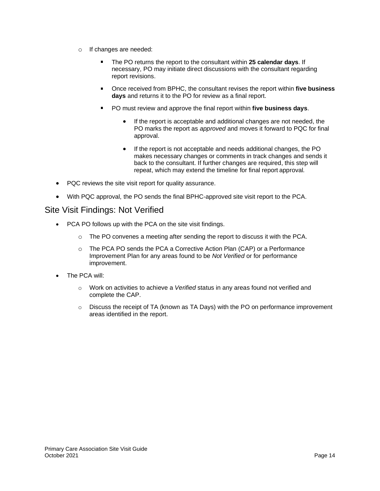- If changes are needed:
	- The PO returns the report to the consultant within **25 calendar days**. If necessary, PO may initiate direct discussions with the consultant regarding report revisions.
	- Once received from BPHC, the consultant revises the report within **five business days** and returns it to the PO for review as a final report.
	- PO must review and approve the final report within **five business days**.
		- If the report is acceptable and additional changes are not needed, the PO marks the report as *approved* and moves it forward to PQC for final approval.
		- If the report is not acceptable and needs additional changes, the PO makes necessary changes or comments in track changes and sends it back to the consultant. If further changes are required, this step will repeat, which may extend the timeline for final report approval*.*
- PQC reviews the site visit report for quality assurance.
- With PQC approval, the PO sends the final BPHC-approved site visit report to the PCA.

### <span id="page-17-0"></span>Site Visit Findings: Not Verified

- PCA PO follows up with the PCA on the site visit findings.
	- $\circ$  The PO convenes a meeting after sending the report to discuss it with the PCA.
	- The PCA PO sends the PCA a Corrective Action Plan (CAP) or a Performance Improvement Plan for any areas found to be *Not Verified* or for performance improvement.
- The PCA will:
	- Work on activities to achieve a *Verified* status in any areas found not verified and complete the CAP.
	- Discuss the receipt of TA (known as TA Days) with the PO on performance improvement areas identified in the report.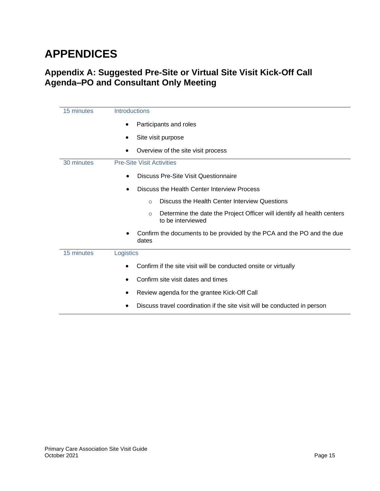## <span id="page-18-0"></span>**APPENDICES**

## <span id="page-18-1"></span>**Appendix A: Suggested Pre-Site or Virtual Site Visit Kick-Off Call Agenda–PO and Consultant Only Meeting**

| 15 minutes | <b>Introductions</b>                                                                                    |  |  |  |  |
|------------|---------------------------------------------------------------------------------------------------------|--|--|--|--|
|            | Participants and roles                                                                                  |  |  |  |  |
|            | Site visit purpose                                                                                      |  |  |  |  |
|            | Overview of the site visit process                                                                      |  |  |  |  |
| 30 minutes | <b>Pre-Site Visit Activities</b>                                                                        |  |  |  |  |
|            | Discuss Pre-Site Visit Questionnaire<br>$\bullet$                                                       |  |  |  |  |
|            | Discuss the Health Center Interview Process<br>$\bullet$                                                |  |  |  |  |
|            | Discuss the Health Center Interview Questions<br>$\circ$                                                |  |  |  |  |
|            | Determine the date the Project Officer will identify all health centers<br>$\circ$<br>to be interviewed |  |  |  |  |
|            | Confirm the documents to be provided by the PCA and the PO and the due<br>٠<br>dates                    |  |  |  |  |
| 15 minutes | Logistics                                                                                               |  |  |  |  |
|            | Confirm if the site visit will be conducted onsite or virtually                                         |  |  |  |  |
|            | Confirm site visit dates and times                                                                      |  |  |  |  |
|            | Review agenda for the grantee Kick-Off Call                                                             |  |  |  |  |
|            | Discuss travel coordination if the site visit will be conducted in person                               |  |  |  |  |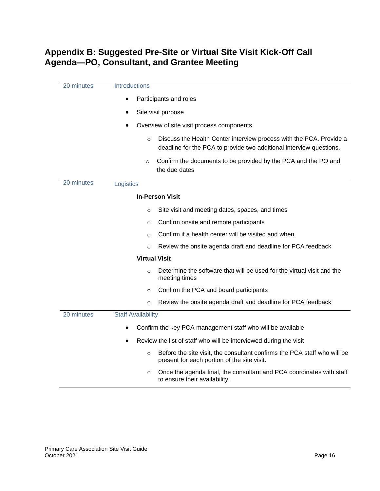## <span id="page-19-1"></span><span id="page-19-0"></span>**Appendix B: Suggested Pre-Site or Virtual Site Visit Kick-Off Call Agenda—PO, Consultant, and Grantee Meeting**

| Introductions<br>20 minutes |                                                                                                                                                       |  |
|-----------------------------|-------------------------------------------------------------------------------------------------------------------------------------------------------|--|
|                             | Participants and roles<br>$\bullet$                                                                                                                   |  |
|                             | Site visit purpose                                                                                                                                    |  |
|                             | Overview of site visit process components                                                                                                             |  |
|                             | Discuss the Health Center interview process with the PCA. Provide a<br>$\circ$<br>deadline for the PCA to provide two additional interview questions. |  |
|                             | Confirm the documents to be provided by the PCA and the PO and<br>$\circ$<br>the due dates                                                            |  |
| 20 minutes                  | Logistics                                                                                                                                             |  |
|                             | <b>In-Person Visit</b>                                                                                                                                |  |
|                             | Site visit and meeting dates, spaces, and times<br>$\circ$                                                                                            |  |
|                             | Confirm onsite and remote participants<br>O                                                                                                           |  |
|                             | Confirm if a health center will be visited and when<br>$\circ$                                                                                        |  |
|                             | Review the onsite agenda draft and deadline for PCA feedback<br>$\circ$                                                                               |  |
|                             | <b>Virtual Visit</b>                                                                                                                                  |  |
|                             | Determine the software that will be used for the virtual visit and the<br>$\circ$<br>meeting times                                                    |  |
|                             | Confirm the PCA and board participants<br>$\circ$                                                                                                     |  |
|                             | Review the onsite agenda draft and deadline for PCA feedback<br>$\circ$                                                                               |  |
| 20 minutes                  | <b>Staff Availability</b>                                                                                                                             |  |
|                             | Confirm the key PCA management staff who will be available                                                                                            |  |
|                             | Review the list of staff who will be interviewed during the visit                                                                                     |  |
|                             | Before the site visit, the consultant confirms the PCA staff who will be<br>$\circ$<br>present for each portion of the site visit.                    |  |
|                             | Once the agenda final, the consultant and PCA coordinates with staff<br>$\circ$<br>to ensure their availability.                                      |  |
|                             |                                                                                                                                                       |  |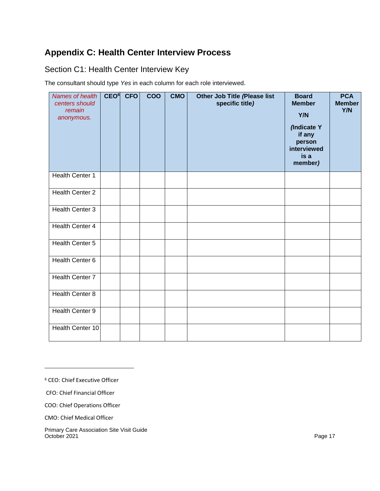## <span id="page-20-0"></span>**Appendix C: Health Center Interview Process**

## <span id="page-20-1"></span>Section C1: Health Center Interview Key

The consultant should type *Yes* in each column for each role interviewed.

| Names of health<br>centers should<br>remain<br>anonymous. | CEO <sup>6</sup> | <b>CFO</b> | COO | <b>CMO</b> | Other Job Title (Please list<br>specific title) | <b>Board</b><br><b>Member</b><br>Y/N<br>(Indicate Y<br>if any<br>person<br>interviewed<br>is a<br>member) | <b>PCA</b><br><b>Member</b><br>Y/N |
|-----------------------------------------------------------|------------------|------------|-----|------------|-------------------------------------------------|-----------------------------------------------------------------------------------------------------------|------------------------------------|
| Health Center 1                                           |                  |            |     |            |                                                 |                                                                                                           |                                    |
| Health Center 2                                           |                  |            |     |            |                                                 |                                                                                                           |                                    |
| Health Center 3                                           |                  |            |     |            |                                                 |                                                                                                           |                                    |
| Health Center 4                                           |                  |            |     |            |                                                 |                                                                                                           |                                    |
| Health Center 5                                           |                  |            |     |            |                                                 |                                                                                                           |                                    |
| Health Center 6                                           |                  |            |     |            |                                                 |                                                                                                           |                                    |
| <b>Health Center 7</b>                                    |                  |            |     |            |                                                 |                                                                                                           |                                    |
| <b>Health Center 8</b>                                    |                  |            |     |            |                                                 |                                                                                                           |                                    |
| Health Center 9                                           |                  |            |     |            |                                                 |                                                                                                           |                                    |
| Health Center 10                                          |                  |            |     |            |                                                 |                                                                                                           |                                    |

6 CEO: Chief Executive Officer

CFO: Chief Financial Officer

COO: Chief Operations Officer

CMO: Chief Medical Officer

Primary Care Association Site Visit Guide October 2021 Page 17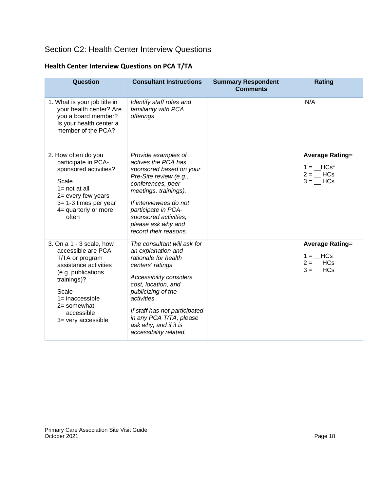## <span id="page-21-0"></span>Section C2: Health Center Interview Questions

| Question                                                                                                                                                                                                           | <b>Consultant Instructions</b>                                                                                                                                                                                                                                                                      | <b>Summary Respondent</b><br><b>Comments</b> | <b>Rating</b>                                                                               |
|--------------------------------------------------------------------------------------------------------------------------------------------------------------------------------------------------------------------|-----------------------------------------------------------------------------------------------------------------------------------------------------------------------------------------------------------------------------------------------------------------------------------------------------|----------------------------------------------|---------------------------------------------------------------------------------------------|
| 1. What is your job title in<br>your health center? Are<br>you a board member?<br>Is your health center a<br>member of the PCA?                                                                                    | Identify staff roles and<br>familiarity with PCA<br>offerings                                                                                                                                                                                                                                       |                                              | N/A                                                                                         |
| 2. How often do you<br>participate in PCA-<br>sponsored activities?<br>Scale<br>$1 = not at all$<br>2= every few years<br>$3 = 1-3$ times per year<br>4= quarterly or more<br>often                                | Provide examples of<br>actives the PCA has<br>sponsored based on your<br>Pre-Site review (e.g.,<br>conferences, peer<br>meetings, trainings).<br>If interviewees do not<br>participate in PCA-<br>sponsored activities,<br>please ask why and<br>record their reasons.                              |                                              | <b>Average Rating=</b><br>$1 = HCs^*$<br>$2 = HCs$<br>$3 =$ $\_\text{HCS}$                  |
| 3. On a 1 - 3 scale, how<br>accessible are PCA<br>T/TA or program<br>assistance activities<br>(e.g. publications,<br>trainings)?<br>Scale<br>$1 =$ inaccessible<br>2= somewhat<br>accessible<br>3= very accessible | The consultant will ask for<br>an explanation and<br>rationale for health<br>centers' ratings<br>Accessibility considers<br>cost, location, and<br>publicizing of the<br>activities.<br>If staff has not participated<br>in any PCA T/TA, please<br>ask why, and if it is<br>accessibility related. |                                              | <b>Average Rating=</b><br>$1 = \underline{\qquad}$ HCs<br>$2 =$ HCs<br>$3 =$ $\_\text{HCS}$ |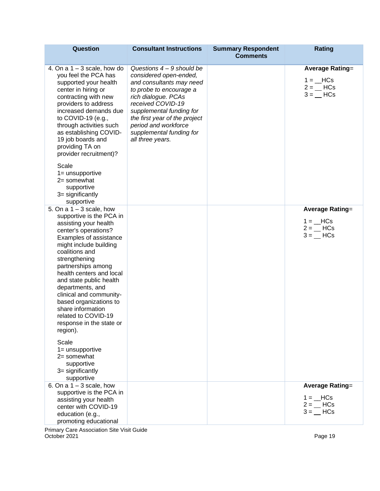| Question                                                                                                                                                                                                                                                                                                                                                                                                                                 | <b>Consultant Instructions</b>                                                                                                                                                                                                                                                                | <b>Summary Respondent</b><br><b>Comments</b> | <b>Rating</b>                                                                                     |
|------------------------------------------------------------------------------------------------------------------------------------------------------------------------------------------------------------------------------------------------------------------------------------------------------------------------------------------------------------------------------------------------------------------------------------------|-----------------------------------------------------------------------------------------------------------------------------------------------------------------------------------------------------------------------------------------------------------------------------------------------|----------------------------------------------|---------------------------------------------------------------------------------------------------|
| 4. On a $1 - 3$ scale, how do<br>you feel the PCA has<br>supported your health<br>center in hiring or<br>contracting with new<br>providers to address<br>increased demands due<br>to COVID-19 (e.g.,<br>through activities such<br>as establishing COVID-<br>19 job boards and<br>providing TA on<br>provider recruitment)?                                                                                                              | Questions $4 - 9$ should be<br>considered open-ended,<br>and consultants may need<br>to probe to encourage a<br>rich dialogue. PCAs<br>received COVID-19<br>supplemental funding for<br>the first year of the project<br>period and workforce<br>supplemental funding for<br>all three years. |                                              | <b>Average Rating=</b><br>$1 = HCs$<br>$2 = HCs$<br>$3 =$ $\_\text{HCS}$                          |
| Scale<br>1= unsupportive<br>2= somewhat<br>supportive<br>3= significantly<br>supportive                                                                                                                                                                                                                                                                                                                                                  |                                                                                                                                                                                                                                                                                               |                                              |                                                                                                   |
| 5. On a $1 - 3$ scale, how<br>supportive is the PCA in<br>assisting your health<br>center's operations?<br>Examples of assistance<br>might include building<br>coalitions and<br>strengthening<br>partnerships among<br>health centers and local<br>and state public health<br>departments, and<br>clinical and community-<br>based organizations to<br>share information<br>related to COVID-19<br>response in the state or<br>region). |                                                                                                                                                                                                                                                                                               |                                              | <b>Average Rating=</b><br>$1 = HCs$<br>$2 = HCs$<br>$3 =$ $\_\text{HCS}$                          |
| Scale<br>1= unsupportive<br>$2 =$ somewhat<br>supportive<br>3= significantly<br>supportive                                                                                                                                                                                                                                                                                                                                               |                                                                                                                                                                                                                                                                                               |                                              |                                                                                                   |
| 6. On a $1 - 3$ scale, how<br>supportive is the PCA in<br>assisting your health<br>center with COVID-19<br>education (e.g.,<br>promoting educational                                                                                                                                                                                                                                                                                     |                                                                                                                                                                                                                                                                                               |                                              | <b>Average Rating=</b><br>$1 = \underline{\qquad}$ HCs<br>$2 =$ $\_\$ HCs<br>$3 =$ $\_\text{HCS}$ |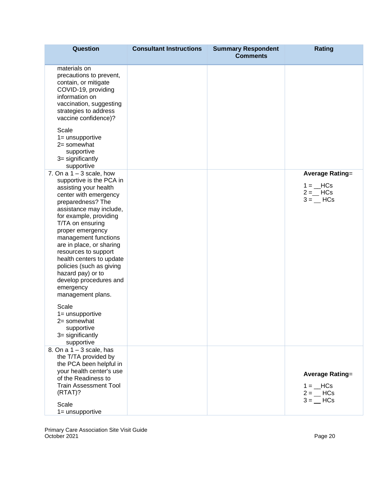| <b>Question</b>                                                                                                                                                                                                                                                                                                                                                                                                                                                                               | <b>Consultant Instructions</b> | <b>Summary Respondent</b><br><b>Comments</b> | <b>Rating</b>                                                                                     |
|-----------------------------------------------------------------------------------------------------------------------------------------------------------------------------------------------------------------------------------------------------------------------------------------------------------------------------------------------------------------------------------------------------------------------------------------------------------------------------------------------|--------------------------------|----------------------------------------------|---------------------------------------------------------------------------------------------------|
| materials on<br>precautions to prevent,<br>contain, or mitigate<br>COVID-19, providing<br>information on<br>vaccination, suggesting<br>strategies to address<br>vaccine confidence)?<br>Scale<br>$1 =$ unsupportive<br>$2 =$ somewhat<br>supportive<br>3= significantly<br>supportive                                                                                                                                                                                                         |                                |                                              |                                                                                                   |
| 7. On a $1 - 3$ scale, how<br>supportive is the PCA in<br>assisting your health<br>center with emergency<br>preparedness? The<br>assistance may include,<br>for example, providing<br>T/TA on ensuring<br>proper emergency<br>management functions<br>are in place, or sharing<br>resources to support<br>health centers to update<br>policies (such as giving<br>hazard pay) or to<br>develop procedures and<br>emergency<br>management plans.<br>Scale<br>$1 =$ unsupportive<br>2= somewhat |                                |                                              | <b>Average Rating=</b><br>$1 = \_$ HCs<br>$2 =$ HCs<br>$3 =$ $\_\$ HCs                            |
| supportive<br>3= significantly<br>supportive                                                                                                                                                                                                                                                                                                                                                                                                                                                  |                                |                                              |                                                                                                   |
| 8. On a $1 - 3$ scale, has<br>the T/TA provided by<br>the PCA been helpful in<br>your health center's use<br>of the Readiness to<br><b>Train Assessment Tool</b><br>(RTAT)?<br>Scale<br>$1 =$ unsupportive                                                                                                                                                                                                                                                                                    |                                |                                              | <b>Average Rating=</b><br>$1 = \underline{\qquad}$ HCs<br>$2 =$ $\_\$ HCs<br>$3 =$ $\_\text{HCS}$ |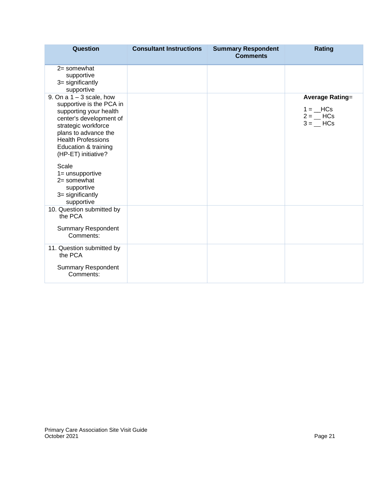| Question                                                                                                                                                                                                                               | <b>Consultant Instructions</b> | <b>Summary Respondent</b><br><b>Comments</b> | <b>Rating</b>                                                          |
|----------------------------------------------------------------------------------------------------------------------------------------------------------------------------------------------------------------------------------------|--------------------------------|----------------------------------------------|------------------------------------------------------------------------|
| $2 =$ somewhat<br>supportive<br>3= significantly<br>supportive                                                                                                                                                                         |                                |                                              |                                                                        |
| 9. On a $1 - 3$ scale, how<br>supportive is the PCA in<br>supporting your health<br>center's development of<br>strategic workforce<br>plans to advance the<br><b>Health Professions</b><br>Education & training<br>(HP-ET) initiative? |                                |                                              | <b>Average Rating=</b><br>$1 = HCs$<br>$2 =$ $\qquad$ HCs<br>$3 = HCs$ |
| Scale<br>$1 =$ unsupportive<br>$2 =$ somewhat<br>supportive<br>$3 =$ significantly<br>supportive                                                                                                                                       |                                |                                              |                                                                        |
| 10. Question submitted by<br>the PCA<br><b>Summary Respondent</b><br>Comments:                                                                                                                                                         |                                |                                              |                                                                        |
| 11. Question submitted by<br>the PCA<br><b>Summary Respondent</b><br>Comments:                                                                                                                                                         |                                |                                              |                                                                        |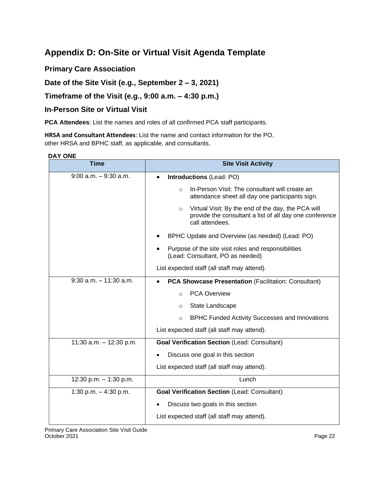## <span id="page-25-1"></span><span id="page-25-0"></span>**Appendix D: On-Site or Virtual Visit Agenda Template**

**Primary Care Association** 

**Date of the Site Visit (e.g., September 2 – 3, 2021)** 

**Timeframe of the Visit (e.g., 9:00 a.m. – 4:30 p.m.)** 

### **In-Person Site or Virtual Visit**

**PCA Attendees**: List the names and roles of all confirmed PCA staff participants.

**HRSA and Consultant Attendees**: List the name and contact information for the PO, other HRSA and BPHC staff, as applicable, and consultants.

#### **DAY ONE**

| $\ddot{\phantom{0}}$<br><b>Time</b> | <b>Site Visit Activity</b>                                                                                                                  |  |
|-------------------------------------|---------------------------------------------------------------------------------------------------------------------------------------------|--|
| $9:00$ a.m. $-9:30$ a.m.            | Introductions (Lead: PO)                                                                                                                    |  |
|                                     | In-Person Visit: The consultant will create an<br>$\circ$<br>attendance sheet all day one participants sign.                                |  |
|                                     | Virtual Visit: By the end of the day, the PCA will<br>$\circ$<br>provide the consultant a list of all day one conference<br>call attendees. |  |
|                                     | BPHC Update and Overview (as needed) (Lead: PO)                                                                                             |  |
|                                     | Purpose of the site visit roles and responsibilities<br>(Lead: Consultant, PO as needed)                                                    |  |
|                                     | List expected staff (all staff may attend).                                                                                                 |  |
| $9:30$ a.m. $-11:30$ a.m.           | <b>PCA Showcase Presentation (Facilitation: Consultant)</b><br>٠                                                                            |  |
|                                     | <b>PCA Overview</b><br>$\Omega$                                                                                                             |  |
|                                     | State Landscape<br>$\Omega$                                                                                                                 |  |
|                                     | <b>BPHC Funded Activity Successes and Innovations</b><br>$\circ$                                                                            |  |
|                                     | List expected staff (all staff may attend).                                                                                                 |  |
| 11:30 a.m. - 12:30 p.m.             | <b>Goal Verification Section (Lead: Consultant)</b>                                                                                         |  |
|                                     | Discuss one goal in this section                                                                                                            |  |
|                                     | List expected staff (all staff may attend).                                                                                                 |  |
| 12:30 p.m. $-$ 1:30 p.m.            | Lunch                                                                                                                                       |  |
| 1:30 p.m. $-$ 4:30 p.m.             | <b>Goal Verification Section (Lead: Consultant)</b>                                                                                         |  |
|                                     | Discuss two goals in this section                                                                                                           |  |
|                                     | List expected staff (all staff may attend).                                                                                                 |  |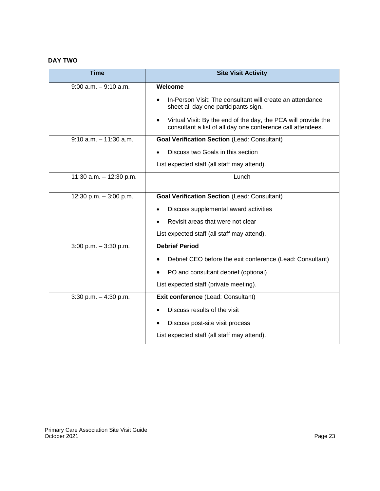#### **DAY TWO**

| <b>Time</b>               | <b>Site Visit Activity</b>                                                                                                    |  |
|---------------------------|-------------------------------------------------------------------------------------------------------------------------------|--|
| $9:00$ a.m. $-9:10$ a.m.  | Welcome                                                                                                                       |  |
|                           | In-Person Visit: The consultant will create an attendance<br>sheet all day one participants sign.                             |  |
|                           | Virtual Visit: By the end of the day, the PCA will provide the<br>consultant a list of all day one conference call attendees. |  |
| $9:10$ a.m. $-11:30$ a.m. | <b>Goal Verification Section (Lead: Consultant)</b>                                                                           |  |
|                           | Discuss two Goals in this section                                                                                             |  |
|                           | List expected staff (all staff may attend).                                                                                   |  |
| 11:30 $a.m. - 12:30$ p.m. | Lunch                                                                                                                         |  |
| 12:30 p.m. - 3:00 p.m.    | <b>Goal Verification Section (Lead: Consultant)</b>                                                                           |  |
|                           | Discuss supplemental award activities                                                                                         |  |
|                           | Revisit areas that were not clear                                                                                             |  |
|                           | List expected staff (all staff may attend).                                                                                   |  |
| $3:00$ p.m. $-3:30$ p.m.  | <b>Debrief Period</b>                                                                                                         |  |
|                           | Debrief CEO before the exit conference (Lead: Consultant)                                                                     |  |
|                           | PO and consultant debrief (optional)                                                                                          |  |
|                           | List expected staff (private meeting).                                                                                        |  |
| $3:30$ p.m. $-4:30$ p.m.  | Exit conference (Lead: Consultant)                                                                                            |  |
|                           | Discuss results of the visit                                                                                                  |  |
|                           | Discuss post-site visit process                                                                                               |  |
|                           | List expected staff (all staff may attend).                                                                                   |  |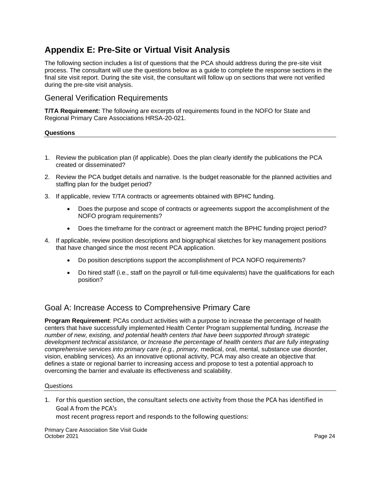## <span id="page-27-3"></span><span id="page-27-0"></span>**Appendix E: Pre-Site or Virtual Visit Analysis**

The following section includes a list of questions that the PCA should address during the pre-site visit process. The consultant will use the questions below as a guide to complete the response sections in the final site visit report. During the site visit, the consultant will follow up on sections that were not verified during the pre-site visit analysis.

### <span id="page-27-1"></span>General Verification Requirements

**T/TA Requirement:** The following are excerpts of requirements found in the NOFO for State and Regional Primary Care Associations HRSA-20-021.

#### **Questions**

- 1. Review the publication plan (if applicable). Does the plan clearly identify the publications the PCA created or disseminated?
- 2. Review the PCA budget details and narrative. Is the budget reasonable for the planned activities and staffing plan for the budget period?
- 3. If applicable, review T/TA contracts or agreements obtained with BPHC funding.
	- Does the purpose and scope of contracts or agreements support the accomplishment of the NOFO program requirements?
	- Does the timeframe for the contract or agreement match the BPHC funding project period?
- 4. If applicable, review position descriptions and biographical sketches for key management positions that have changed since the most recent PCA application.
	- Do position descriptions support the accomplishment of PCA NOFO requirements?
	- Do hired staff (i.e., staff on the payroll or full-time equivalents) have the qualifications for each position?

### <span id="page-27-2"></span>Goal A: Increase Access to Comprehensive Primary Care

**Program Requirement**: PCAs conduct activities with a purpose to increase the percentage of health centers that have successfully implemented Health Center Program supplemental funding*, Increase the number of new, existing, and potential health centers that have been supported through strategic development technical assistance, or Increase the percentage of health centers that are fully integrating comprehensive services into primary care (e.g., primary,* medical, oral, mental, substance use disorder, vision, enabling services). As an innovative optional activity, PCA may also create an objective that defines a state or regional barrier to increasing access and propose to test a potential approach to overcoming the barrier and evaluate its effectiveness and scalability.

#### Questions

1. For this question section, the consultant selects one activity from those the PCA has identified in Goal A from the PCA's

most recent progress report and responds to the following questions: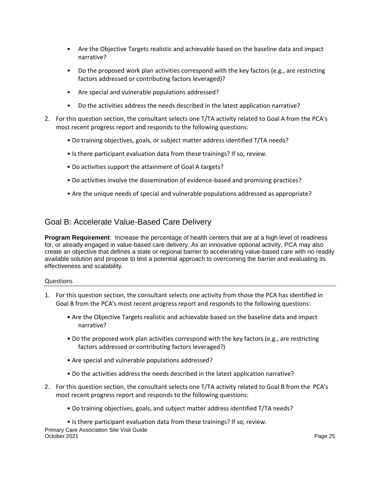- Are the Objective Targets realistic and achievable based on the baseline data and impact narrative?
- Do the proposed work plan activities correspond with the key factors (e.g., are restricting factors addressed or contributing factors leveraged)?
- Are special and vulnerable populations addressed?
- Do the activities address the needs described in the latest application narrative?
- 2. For this question section, the consultant selects one T/TA activity related to Goal A from the PCA's most recent progress report and responds to the following questions:
	- Do training objectives, goals, or subject matter address identified T/TA needs?
	- Is there participant evaluation data from these trainings? If so, review.
	- Do activities support the attainment of Goal A targets?
	- Do activities involve the dissemination of evidence-based and promising practices?
	- Are the unique needs of special and vulnerable populations addressed as appropriate?

## <span id="page-28-0"></span>Goal B: Accelerate Value-Based Care Delivery

**Program Requirement**: Increase the percentage of health centers that are at a high level of readiness for, or already engaged in value-based care delivery. As an innovative optional activity, PCA may also create an objective that defines a state or regional barrier to accelerating value-based care with no readily available solution and propose to test a potential approach to overcoming the barrier and evaluating its effectiveness and scalability.

#### Questions

- 1. For this question section, the consultant selects one activity from those the PCA has identified in Goal B from the PCA's most recent progress report and responds to the following questions:
	- Are the Objective Targets realistic and achievable based on the baseline data and impact narrative?
	- Do the proposed work plan activities correspond with the key factors (e.g., are restricting factors addressed or contributing factors leveraged?)
	- Are special and vulnerable populations addressed?
	- Do the activities address the needs described in the latest application narrative?
- 2. For this question section, the consultant selects one T/TA activity related to Goal B from the PCA's most recent progress report and responds to the following questions:
	- Do training objectives, goals, and subject matter address identified T/TA needs?

Primary Care Association Site Visit Guide October 2021 **Page 25** • Is there participant evaluation data from these trainings? If so, review.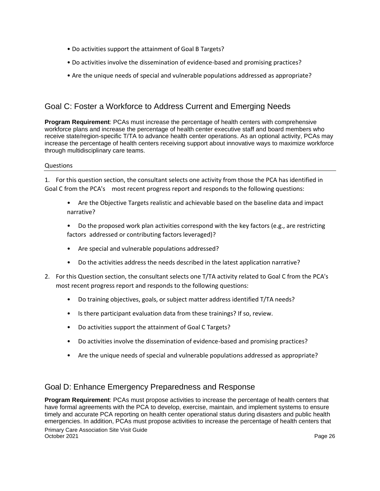- Do activities support the attainment of Goal B Targets?
- Do activities involve the dissemination of evidence-based and promising practices?
- Are the unique needs of special and vulnerable populations addressed as appropriate?

## <span id="page-29-0"></span>Goal C: Foster a Workforce to Address Current and Emerging Needs

**Program Requirement**: PCAs must increase the percentage of health centers with comprehensive workforce plans and increase the percentage of health center executive staff and board members who receive state/region-specific T/TA to advance health center operations. As an optional activity, PCAs may increase the percentage of health centers receiving support about innovative ways to maximize workforce through multidisciplinary care teams.

#### Questions

1. For this question section, the consultant selects one activity from those the PCA has identified in Goal C from the PCA's most recent progress report and responds to the following questions:

- Are the Objective Targets realistic and achievable based on the baseline data and impact narrative?
- Do the proposed work plan activities correspond with the key factors (e.g., are restricting factors addressed or contributing factors leveraged)?
- Are special and vulnerable populations addressed?
- Do the activities address the needs described in the latest application narrative?
- 2. For this Question section, the consultant selects one T/TA activity related to Goal C from the PCA's most recent progress report and responds to the following questions:
	- Do training objectives, goals, or subject matter address identified T/TA needs?
	- Is there participant evaluation data from these trainings? If so, review.
	- Do activities support the attainment of Goal C Targets?
	- Do activities involve the dissemination of evidence-based and promising practices?
	- Are the unique needs of special and vulnerable populations addressed as appropriate?

## <span id="page-29-1"></span>Goal D: Enhance Emergency Preparedness and Response

Primary Care Association Site Visit Guide October 2021 **Page 26 Program Requirement**: PCAs must propose activities to increase the percentage of health centers that have formal agreements with the PCA to develop, exercise, maintain, and implement systems to ensure timely and accurate PCA reporting on health center operational status during disasters and public health emergencies. In addition, PCAs must propose activities to increase the percentage of health centers that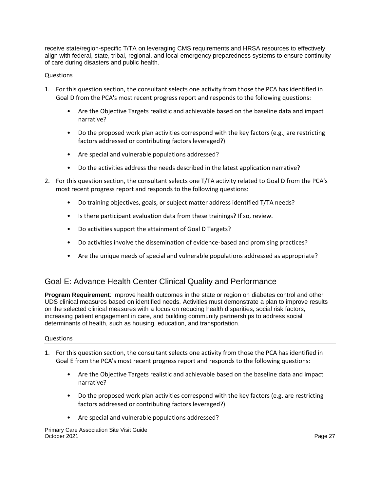receive state/region-specific T/TA on leveraging CMS requirements and HRSA resources to effectively align with federal, state, tribal, regional, and local emergency preparedness systems to ensure continuity of care during disasters and public health.

#### Questions

- 1. For this question section, the consultant selects one activity from those the PCA has identified in Goal D from the PCA's most recent progress report and responds to the following questions:
	- Are the Objective Targets realistic and achievable based on the baseline data and impact narrative?
	- Do the proposed work plan activities correspond with the key factors (e.g., are restricting factors addressed or contributing factors leveraged?)
	- Are special and vulnerable populations addressed?
	- Do the activities address the needs described in the latest application narrative?
- 2. For this question section, the consultant selects one T/TA activity related to Goal D from the PCA's most recent progress report and responds to the following questions:
	- Do training objectives, goals, or subject matter address identified T/TA needs?
	- Is there participant evaluation data from these trainings? If so, review.
	- Do activities support the attainment of Goal D Targets?
	- Do activities involve the dissemination of evidence-based and promising practices?
	- Are the unique needs of special and vulnerable populations addressed as appropriate?

## <span id="page-30-0"></span>Goal E: Advance Health Center Clinical Quality and Performance

**Program Requirement**: Improve health outcomes in the state or region on diabetes control and other UDS clinical measures based on identified needs. Activities must demonstrate a plan to improve results on the selected clinical measures with a focus on reducing health disparities, social risk factors, increasing patient engagement in care, and building community partnerships to address social determinants of health, such as housing, education, and transportation.

#### Questions

- 1. For this question section, the consultant selects one activity from those the PCA has identified in Goal E from the PCA's most recent progress report and responds to the following questions:
	- Are the Objective Targets realistic and achievable based on the baseline data and impact narrative?
	- Do the proposed work plan activities correspond with the key factors (e.g. are restricting factors addressed or contributing factors leveraged?)
	- Are special and vulnerable populations addressed?

Primary Care Association Site Visit Guide October 2021 **Page 27**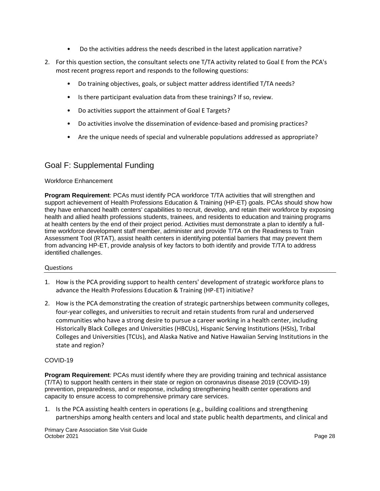- Do the activities address the needs described in the latest application narrative?
- 2. For this question section, the consultant selects one T/TA activity related to Goal E from the PCA's most recent progress report and responds to the following questions:
	- Do training objectives, goals, or subject matter address identified T/TA needs?
	- Is there participant evaluation data from these trainings? If so, review.
	- Do activities support the attainment of Goal E Targets?
	- Do activities involve the dissemination of evidence-based and promising practices?
	- Are the unique needs of special and vulnerable populations addressed as appropriate?

## <span id="page-31-0"></span>Goal F: Supplemental Funding

#### Workforce Enhancement

**Program Requirement**: PCAs must identify PCA workforce T/TA activities that will strengthen and support achievement of Health Professions Education & Training (HP-ET) goals. PCAs should show how they have enhanced health centers' capabilities to recruit, develop, and retain their workforce by exposing health and allied health professions students, trainees, and residents to education and training programs at health centers by the end of their project period. Activities must demonstrate a plan to identify a fulltime workforce development staff member, administer and provide T/TA on the Readiness to Train Assessment Tool (RTAT), assist health centers in identifying potential barriers that may prevent them from advancing HP-ET, provide analysis of key factors to both identify and provide T/TA to address identified challenges.

#### Questions

- 1. How is the PCA providing support to health centers' development of strategic workforce plans to advance the Health Professions Education & Training (HP-ET) initiative?
- 2. How is the PCA demonstrating the creation of strategic partnerships between community colleges, four-year colleges, and universities to recruit and retain students from rural and underserved communities who have a strong desire to pursue a career working in a health center, including Historically Black Colleges and Universities (HBCUs), Hispanic Serving Institutions (HSIs), Tribal Colleges and Universities (TCUs), and Alaska Native and Native Hawaiian Serving Institutions in the state and region?

#### COVID-19

**Program Requirement**: PCAs must identify where they are providing training and technical assistance (T/TA) to support health centers in their state or region on coronavirus disease 2019 (COVID-19) prevention, preparedness, and or response, including strengthening health center operations and capacity to ensure access to comprehensive primary care services.

1. Is the PCA assisting health centers in operations (e.g., building coalitions and strengthening partnerships among health centers and local and state public health departments, and clinical and

Primary Care Association Site Visit Guide October 2021 **Page 28**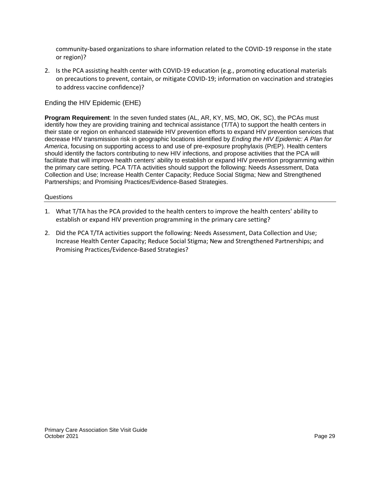community-based organizations to share information related to the COVID-19 response in the state or region)?

2. Is the PCA assisting health center with COVID-19 education (e.g., promoting educational materials on precautions to prevent, contain, or mitigate COVID-19; information on vaccination and strategies to address vaccine confidence)?

Ending the HIV Epidemic (EHE)

**Program Requirement**: In the seven funded states (AL, AR, KY, MS, MO, OK, SC), the PCAs must identify how they are providing training and technical assistance (T/TA) to support the health centers in their state or region on enhanced statewide HIV prevention efforts to expand HIV prevention services that decrease HIV transmission risk in geographic locations identified by *Ending the HIV Epidemic: A Plan for America*, focusing on supporting access to and use of pre-exposure prophylaxis (PrEP). Health centers should identify the factors contributing to new HIV infections, and propose activities that the PCA will facilitate that will improve health centers' ability to establish or expand HIV prevention programming within the primary care setting. PCA T/TA activities should support the following: Needs Assessment, Data Collection and Use; Increase Health Center Capacity; Reduce Social Stigma; New and Strengthened Partnerships; and Promising Practices/Evidence-Based Strategies.

#### Questions

- 1. What T/TA has the PCA provided to the health centers to improve the health centers' ability to establish or expand HIV prevention programming in the primary care setting?
- 2. Did the PCA T/TA activities support the following: Needs Assessment, Data Collection and Use; Increase Health Center Capacity; Reduce Social Stigma; New and Strengthened Partnerships; and Promising Practices/Evidence-Based Strategies?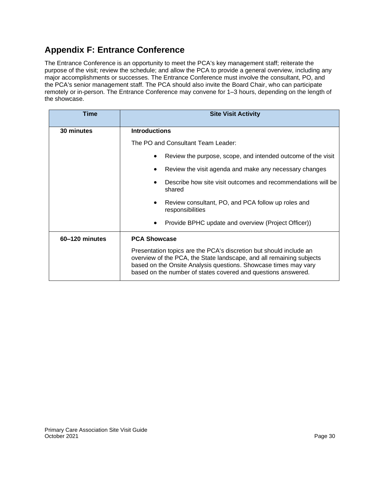## <span id="page-33-0"></span>**Appendix F: Entrance Conference**

The Entrance Conference is an opportunity to meet the PCA's key management staff; reiterate the purpose of the visit; review the schedule; and allow the PCA to provide a general overview, including any major accomplishments or successes. The Entrance Conference must involve the consultant, PO, and the PCA's senior management staff. The PCA should also invite the Board Chair, who can participate remotely or in-person. The Entrance Conference may convene for 1–3 hours, depending on the length of the showcase.

| <b>Time</b>    | <b>Site Visit Activity</b>                                                                                                                                                                                                                                                     |  |
|----------------|--------------------------------------------------------------------------------------------------------------------------------------------------------------------------------------------------------------------------------------------------------------------------------|--|
| 30 minutes     | <b>Introductions</b>                                                                                                                                                                                                                                                           |  |
|                | The PO and Consultant Team Leader:                                                                                                                                                                                                                                             |  |
|                | Review the purpose, scope, and intended outcome of the visit                                                                                                                                                                                                                   |  |
|                | Review the visit agenda and make any necessary changes<br>٠                                                                                                                                                                                                                    |  |
|                | Describe how site visit outcomes and recommendations will be<br>shared                                                                                                                                                                                                         |  |
|                | Review consultant, PO, and PCA follow up roles and<br>٠<br>responsibilities                                                                                                                                                                                                    |  |
|                | Provide BPHC update and overview (Project Officer))<br>٠                                                                                                                                                                                                                       |  |
| 60-120 minutes | <b>PCA Showcase</b>                                                                                                                                                                                                                                                            |  |
|                | Presentation topics are the PCA's discretion but should include an<br>overview of the PCA, the State landscape, and all remaining subjects<br>based on the Onsite Analysis questions. Showcase times may vary<br>based on the number of states covered and questions answered. |  |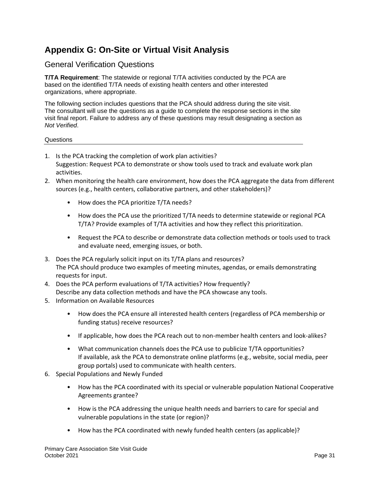## <span id="page-34-0"></span>**Appendix G: On-Site or Virtual Visit Analysis**

### <span id="page-34-1"></span>General Verification Questions

**T/TA Requirement**: The statewide or regional T/TA activities conducted by the PCA are based on the identified T/TA needs of existing health centers and other interested organizations, where appropriate.

The following section includes questions that the PCA should address during the site visit. The consultant will use the questions as a guide to complete the response sections in the site visit final report. Failure to address any of these questions may result designating a section as *Not Verified*.

#### Questions

- 1. Is the PCA tracking the completion of work plan activities? Suggestion: Request PCA to demonstrate or show tools used to track and evaluate work plan activities.
- 2. When monitoring the health care environment, how does the PCA aggregate the data from different sources (e.g., health centers, collaborative partners, and other stakeholders)?
	- How does the PCA prioritize T/TA needs?
	- How does the PCA use the prioritized T/TA needs to determine statewide or regional PCA T/TA? Provide examples of T/TA activities and how they reflect this prioritization.
	- Request the PCA to describe or demonstrate data collection methods or tools used to track and evaluate need, emerging issues, or both.
- 3. Does the PCA regularly solicit input on its T/TA plans and resources? The PCA should produce two examples of meeting minutes, agendas, or emails demonstrating requests for input.
- 4. Does the PCA perform evaluations of T/TA activities? How frequently? Describe any data collection methods and have the PCA showcase any tools.
- 5. Information on Available Resources
	- How does the PCA ensure all interested health centers (regardless of PCA membership or funding status) receive resources?
	- If applicable, how does the PCA reach out to non-member health centers and look-alikes?
	- What communication channels does the PCA use to publicize T/TA opportunities? If available, ask the PCA to demonstrate online platforms (e.g., website, social media, peer group portals) used to communicate with health centers.
- 6. Special Populations and Newly Funded
	- How has the PCA coordinated with its special or vulnerable population National Cooperative Agreements grantee?
	- How is the PCA addressing the unique health needs and barriers to care for special and vulnerable populations in the state (or region)?
	- How has the PCA coordinated with newly funded health centers (as applicable)?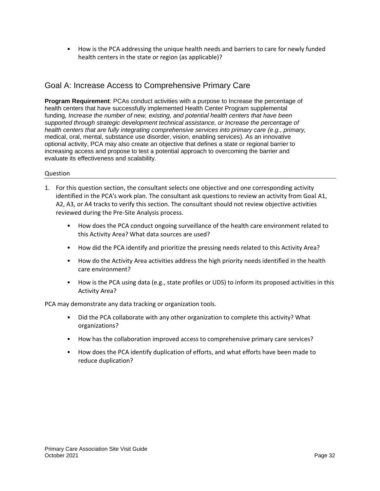• How is the PCA addressing the unique health needs and barriers to care for newly funded health centers in the state or region (as applicable)?

## <span id="page-35-0"></span>Goal A: Increase Access to Comprehensive Primary Care

**Program Requirement**: PCAs conduct activities with a purpose to Increase the percentage of health centers that have successfully implemented Health Center Program supplemental funding*, Increase the number of new, existing, and potential health centers that have been supported through strategic development technical assistance, or Increase the percentage of health centers that are fully integrating comprehensive services into primary care (e.g., primary,*  medical, oral, mental, substance use disorder, vision, enabling services). As an innovative optional activity, PCA may also create an objective that defines a state or regional barrier to increasing access and propose to test a potential approach to overcoming the barrier and evaluate its effectiveness and scalability.

#### Question

- 1. For this question section, the consultant selects one objective and one corresponding activity identified in the PCA's work plan. The consultant ask questions to review an activity from Goal A1, A2, A3, or A4 tracks to verify this section. The consultant should not review objective activities reviewed during the Pre-Site Analysis process.
	- How does the PCA conduct ongoing surveillance of the health care environment related to this Activity Area? What data sources are used?
	- How did the PCA identify and prioritize the pressing needs related to this Activity Area?
	- How do the Activity Area activities address the high priority needs identified in the health care environment?
	- How is the PCA using data (e.g., state profiles or UDS) to inform its proposed activities in this Activity Area?

PCA may demonstrate any data tracking or organization tools.

- Did the PCA collaborate with any other organization to complete this activity? What organizations?
- How has the collaboration improved access to comprehensive primary care services?
- How does the PCA identify duplication of efforts, and what efforts have been made to reduce duplication?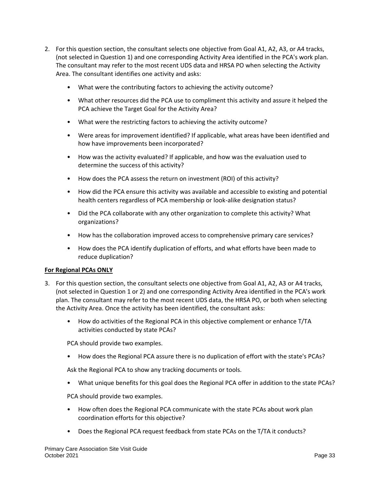- 2. For this question section, the consultant selects one objective from Goal A1, A2, A3, or A4 tracks, (not selected in Question 1) and one corresponding Activity Area identified in the PCA's work plan. The consultant may refer to the most recent UDS data and HRSA PO when selecting the Activity Area. The consultant identifies one activity and asks:
	- What were the contributing factors to achieving the activity outcome?
	- What other resources did the PCA use to compliment this activity and assure it helped the PCA achieve the Target Goal for the Activity Area?
	- What were the restricting factors to achieving the activity outcome?
	- Were areas for improvement identified? If applicable, what areas have been identified and how have improvements been incorporated?
	- How was the activity evaluated? If applicable, and how was the evaluation used to determine the success of this activity?
	- How does the PCA assess the return on investment (ROI) of this activity?
	- How did the PCA ensure this activity was available and accessible to existing and potential health centers regardless of PCA membership or look-alike designation status?
	- Did the PCA collaborate with any other organization to complete this activity? What organizations?
	- How has the collaboration improved access to comprehensive primary care services?
	- How does the PCA identify duplication of efforts, and what efforts have been made to reduce duplication?

#### **For Regional PCAs ONLY**

- 3. For this question section, the consultant selects one objective from Goal A1, A2, A3 or A4 tracks, (not selected in Question 1 or 2) and one corresponding Activity Area identified in the PCA's work plan. The consultant may refer to the most recent UDS data, the HRSA PO, or both when selecting the Activity Area. Once the activity has been identified, the consultant asks:
	- How do activities of the Regional PCA in this objective complement or enhance T/TA activities conducted by state PCAs?

PCA should provide two examples.

• How does the Regional PCA assure there is no duplication of effort with the state's PCAs?

Ask the Regional PCA to show any tracking documents or tools.

• What unique benefits for this goal does the Regional PCA offer in addition to the state PCAs?

PCA should provide two examples.

- How often does the Regional PCA communicate with the state PCAs about work plan coordination efforts for this objective?
- Does the Regional PCA request feedback from state PCAs on the T/TA it conducts?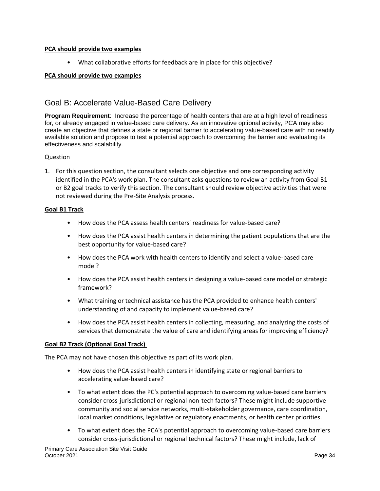#### **PCA should provide two examples**

• What collaborative efforts for feedback are in place for this objective?

#### **PCA should provide two examples**

### <span id="page-37-0"></span>Goal B: Accelerate Value-Based Care Delivery

**Program Requirement**: Increase the percentage of health centers that are at a high level of readiness for, or already engaged in value-based care delivery. As an innovative optional activity, PCA may also create an objective that defines a state or regional barrier to accelerating value-based care with no readily available solution and propose to test a potential approach to overcoming the barrier and evaluating its effectiveness and scalability.

#### Question

1. For this question section, the consultant selects one objective and one corresponding activity identified in the PCA's work plan. The consultant asks questions to review an activity from Goal B1 or B2 goal tracks to verify this section. The consultant should review objective activities that were not reviewed during the Pre-Site Analysis process.

#### **Goal B1 Track**

- How does the PCA assess health centers' readiness for value-based care?
- How does the PCA assist health centers in determining the patient populations that are the best opportunity for value-based care?
- How does the PCA work with health centers to identify and select a value-based care model?
- How does the PCA assist health centers in designing a value-based care model or strategic framework?
- What training or technical assistance has the PCA provided to enhance health centers' understanding of and capacity to implement value-based care?
- How does the PCA assist health centers in collecting, measuring, and analyzing the costs of services that demonstrate the value of care and identifying areas for improving efficiency?

#### **Goal B2 Track (Optional Goal Track)**

The PCA may not have chosen this objective as part of its work plan.

- How does the PCA assist health centers in identifying state or regional barriers to accelerating value-based care?
- To what extent does the PC's potential approach to overcoming value-based care barriers consider cross-jurisdictional or regional non-tech factors? These might include supportive community and social service networks, multi-stakeholder governance, care coordination, local market conditions, legislative or regulatory enactments, or health center priorities.
- To what extent does the PCA's potential approach to overcoming value-based care barriers consider cross-jurisdictional or regional technical factors? These might include, lack of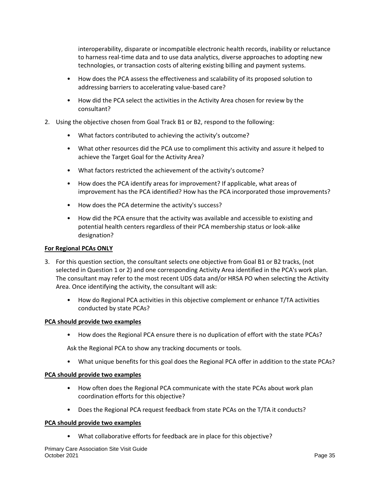interoperability, disparate or incompatible electronic health records, inability or reluctance to harness real-time data and to use data analytics, diverse approaches to adopting new technologies, or transaction costs of altering existing billing and payment systems.

- How does the PCA assess the effectiveness and scalability of its proposed solution to addressing barriers to accelerating value-based care?
- How did the PCA select the activities in the Activity Area chosen for review by the consultant?
- 2. Using the objective chosen from Goal Track B1 or B2, respond to the following:
	- What factors contributed to achieving the activity's outcome?
	- What other resources did the PCA use to compliment this activity and assure it helped to achieve the Target Goal for the Activity Area?
	- What factors restricted the achievement of the activity's outcome?
	- How does the PCA identify areas for improvement? If applicable, what areas of improvement has the PCA identified? How has the PCA incorporated those improvements?
	- How does the PCA determine the activity's success?
	- How did the PCA ensure that the activity was available and accessible to existing and potential health centers regardless of their PCA membership status or look-alike designation?

#### **For Regional PCAs ONLY**

- 3. For this question section, the consultant selects one objective from Goal B1 or B2 tracks, (not selected in Question 1 or 2) and one corresponding Activity Area identified in the PCA's work plan. The consultant may refer to the most recent UDS data and/or HRSA PO when selecting the Activity Area. Once identifying the activity, the consultant will ask:
	- How do Regional PCA activities in this objective complement or enhance T/TA activities conducted by state PCAs?

#### **PCA should provide two examples**

• How does the Regional PCA ensure there is no duplication of effort with the state PCAs?

Ask the Regional PCA to show any tracking documents or tools.

• What unique benefits for this goal does the Regional PCA offer in addition to the state PCAs?

#### **PCA should provide two examples**

- How often does the Regional PCA communicate with the state PCAs about work plan coordination efforts for this objective?
- Does the Regional PCA request feedback from state PCAs on the T/TA it conducts?

#### **PCA should provide two examples**

• What collaborative efforts for feedback are in place for this objective?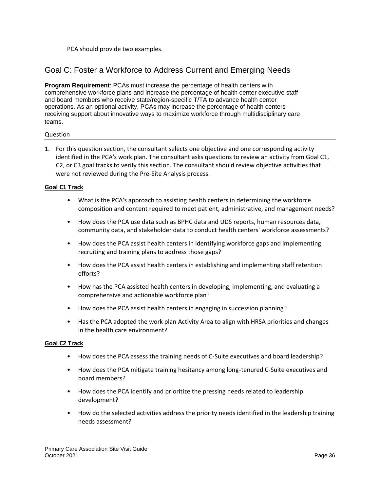PCA should provide two examples.

### <span id="page-39-0"></span>Goal C: Foster a Workforce to Address Current and Emerging Needs

**Program Requirement**: PCAs must increase the percentage of health centers with comprehensive workforce plans and increase the percentage of health center executive staff and board members who receive state/region-specific T/TA to advance health center operations. As an optional activity, PCAs may increase the percentage of health centers receiving support about innovative ways to maximize workforce through multidisciplinary care teams.

#### Question

1. For this question section, the consultant selects one objective and one corresponding activity identified in the PCA's work plan. The consultant asks questions to review an activity from Goal C1, C2, or C3 goal tracks to verify this section. The consultant should review objective activities that were not reviewed during the Pre-Site Analysis process.

#### **Goal C1 Track**

- What is the PCA's approach to assisting health centers in determining the workforce composition and content required to meet patient, administrative, and management needs?
- How does the PCA use data such as BPHC data and UDS reports, human resources data, community data, and stakeholder data to conduct health centers' workforce assessments?
- How does the PCA assist health centers in identifying workforce gaps and implementing recruiting and training plans to address those gaps?
- How does the PCA assist health centers in establishing and implementing staff retention efforts?
- How has the PCA assisted health centers in developing, implementing, and evaluating a comprehensive and actionable workforce plan?
- How does the PCA assist health centers in engaging in succession planning?
- Has the PCA adopted the work plan Activity Area to align with HRSA priorities and changes in the health care environment?

#### **Goal C2 Track**

- How does the PCA assess the training needs of C-Suite executives and board leadership?
- How does the PCA mitigate training hesitancy among long-tenured C-Suite executives and board members?
- How does the PCA identify and prioritize the pressing needs related to leadership development?
- How do the selected activities address the priority needs identified in the leadership training needs assessment?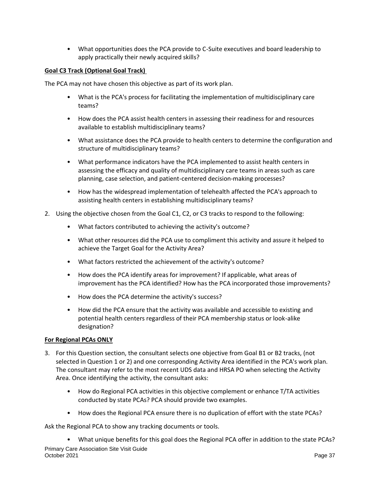• What opportunities does the PCA provide to C-Suite executives and board leadership to apply practically their newly acquired skills?

#### **Goal C3 Track (Optional Goal Track)**

The PCA may not have chosen this objective as part of its work plan.

- What is the PCA's process for facilitating the implementation of multidisciplinary care teams?
- How does the PCA assist health centers in assessing their readiness for and resources available to establish multidisciplinary teams?
- What assistance does the PCA provide to health centers to determine the configuration and structure of multidisciplinary teams?
- What performance indicators have the PCA implemented to assist health centers in assessing the efficacy and quality of multidisciplinary care teams in areas such as care planning, case selection, and patient-centered decision-making processes?
- How has the widespread implementation of telehealth affected the PCA's approach to assisting health centers in establishing multidisciplinary teams?
- 2. Using the objective chosen from the Goal C1, C2, or C3 tracks to respond to the following:
	- What factors contributed to achieving the activity's outcome?
	- What other resources did the PCA use to compliment this activity and assure it helped to achieve the Target Goal for the Activity Area?
	- What factors restricted the achievement of the activity's outcome?
	- How does the PCA identify areas for improvement? If applicable, what areas of improvement has the PCA identified? How has the PCA incorporated those improvements?
	- How does the PCA determine the activity's success?
	- How did the PCA ensure that the activity was available and accessible to existing and potential health centers regardless of their PCA membership status or look-alike designation?

#### **For Regional PCAs ONLY**

- 3. For this Question section, the consultant selects one objective from Goal B1 or B2 tracks, (not selected in Question 1 or 2) and one corresponding Activity Area identified in the PCA's work plan. The consultant may refer to the most recent UDS data and HRSA PO when selecting the Activity Area. Once identifying the activity, the consultant asks:
	- How do Regional PCA activities in this objective complement or enhance T/TA activities conducted by state PCAs? PCA should provide two examples.
	- How does the Regional PCA ensure there is no duplication of effort with the state PCAs?

Ask the Regional PCA to show any tracking documents or tools.

Primary Care Association Site Visit Guide October 2021 **Page 37** • What unique benefits for this goal does the Regional PCA offer in addition to the state PCAs?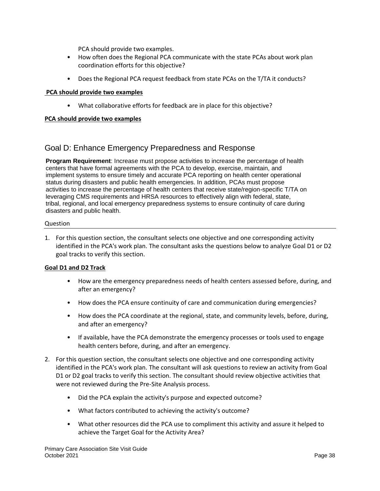PCA should provide two examples.

- How often does the Regional PCA communicate with the state PCAs about work plan coordination efforts for this objective?
- Does the Regional PCA request feedback from state PCAs on the T/TA it conducts?

#### **PCA should provide two examples**

• What collaborative efforts for feedback are in place for this objective?

#### **PCA should provide two examples**

## <span id="page-41-0"></span>Goal D: Enhance Emergency Preparedness and Response

**Program Requirement**: Increase must propose activities to increase the percentage of health centers that have formal agreements with the PCA to develop, exercise, maintain, and implement systems to ensure timely and accurate PCA reporting on health center operational status during disasters and public health emergencies. In addition, PCAs must propose activities to increase the percentage of health centers that receive state/region-specific T/TA on leveraging CMS requirements and HRSA resources to effectively align with federal, state, tribal, regional, and local emergency preparedness systems to ensure continuity of care during disasters and public health.

#### Question

1. For this question section, the consultant selects one objective and one corresponding activity identified in the PCA's work plan. The consultant asks the questions below to analyze Goal D1 or D2 goal tracks to verify this section.

#### **Goal D1 and D2 Track**

- How are the emergency preparedness needs of health centers assessed before, during, and after an emergency?
- How does the PCA ensure continuity of care and communication during emergencies?
- How does the PCA coordinate at the regional, state, and community levels, before, during, and after an emergency?
- If available, have the PCA demonstrate the emergency processes or tools used to engage health centers before, during, and after an emergency.
- 2. For this question section, the consultant selects one objective and one corresponding activity identified in the PCA's work plan. The consultant will ask questions to review an activity from Goal D1 or D2 goal tracks to verify this section. The consultant should review objective activities that were not reviewed during the Pre-Site Analysis process.
	- Did the PCA explain the activity's purpose and expected outcome?
	- What factors contributed to achieving the activity's outcome?
	- What other resources did the PCA use to compliment this activity and assure it helped to achieve the Target Goal for the Activity Area?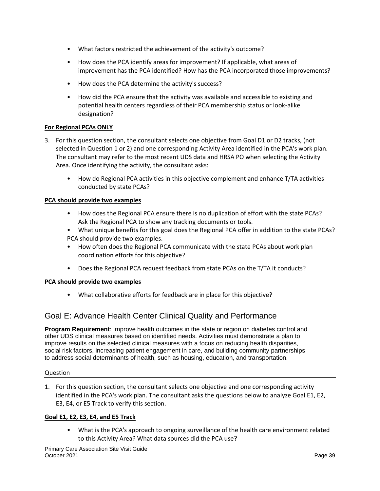- What factors restricted the achievement of the activity's outcome?
- How does the PCA identify areas for improvement? If applicable, what areas of improvement has the PCA identified? How has the PCA incorporated those improvements?
- How does the PCA determine the activity's success?
- How did the PCA ensure that the activity was available and accessible to existing and potential health centers regardless of their PCA membership status or look-alike designation?

#### **For Regional PCAs ONLY**

- 3. For this question section, the consultant selects one objective from Goal D1 or D2 tracks, (not selected in Question 1 or 2) and one corresponding Activity Area identified in the PCA's work plan. The consultant may refer to the most recent UDS data and HRSA PO when selecting the Activity Area. Once identifying the activity, the consultant asks:
	- How do Regional PCA activities in this objective complement and enhance T/TA activities conducted by state PCAs?

#### **PCA should provide two examples**

- How does the Regional PCA ensure there is no duplication of effort with the state PCAs? Ask the Regional PCA to show any tracking documents or tools.
- What unique benefits for this goal does the Regional PCA offer in addition to the state PCAs? PCA should provide two examples.
- How often does the Regional PCA communicate with the state PCAs about work plan coordination efforts for this objective?
- Does the Regional PCA request feedback from state PCAs on the T/TA it conducts?

#### **PCA should provide two examples**

• What collaborative efforts for feedback are in place for this objective?

## <span id="page-42-0"></span>Goal E: Advance Health Center Clinical Quality and Performance

**Program Requirement**: Improve health outcomes in the state or region on diabetes control and other UDS clinical measures based on identified needs. Activities must demonstrate a plan to improve results on the selected clinical measures with a focus on reducing health disparities, social risk factors, increasing patient engagement in care, and building community partnerships to address social determinants of health, such as housing, education, and transportation.

#### Question

1. For this question section, the consultant selects one objective and one corresponding activity identified in the PCA's work plan. The consultant asks the questions below to analyze Goal E1, E2, E3, E4, or E5 Track to verify this section.

#### **Goal E1, E2, E3, E4, and E5 Track**

• What is the PCA's approach to ongoing surveillance of the health care environment related to this Activity Area? What data sources did the PCA use?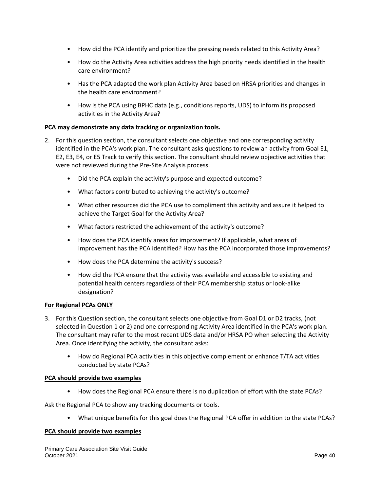- How did the PCA identify and prioritize the pressing needs related to this Activity Area?
- How do the Activity Area activities address the high priority needs identified in the health care environment?
- Has the PCA adapted the work plan Activity Area based on HRSA priorities and changes in the health care environment?
- How is the PCA using BPHC data (e.g., conditions reports, UDS) to inform its proposed activities in the Activity Area?

#### **PCA may demonstrate any data tracking or organization tools.**

- 2. For this question section, the consultant selects one objective and one corresponding activity identified in the PCA's work plan. The consultant asks questions to review an activity from Goal E1, E2, E3, E4, or E5 Track to verify this section. The consultant should review objective activities that were not reviewed during the Pre-Site Analysis process.
	- Did the PCA explain the activity's purpose and expected outcome?
	- What factors contributed to achieving the activity's outcome?
	- What other resources did the PCA use to compliment this activity and assure it helped to achieve the Target Goal for the Activity Area?
	- What factors restricted the achievement of the activity's outcome?
	- How does the PCA identify areas for improvement? If applicable, what areas of improvement has the PCA identified? How has the PCA incorporated those improvements?
	- How does the PCA determine the activity's success?
	- How did the PCA ensure that the activity was available and accessible to existing and potential health centers regardless of their PCA membership status or look-alike designation?

#### **For Regional PCAs ONLY**

- 3. For this Question section, the consultant selects one objective from Goal D1 or D2 tracks, (not selected in Question 1 or 2) and one corresponding Activity Area identified in the PCA's work plan. The consultant may refer to the most recent UDS data and/or HRSA PO when selecting the Activity Area. Once identifying the activity, the consultant asks:
	- How do Regional PCA activities in this objective complement or enhance T/TA activities conducted by state PCAs?

#### **PCA should provide two examples**

• How does the Regional PCA ensure there is no duplication of effort with the state PCAs?

Ask the Regional PCA to show any tracking documents or tools.

• What unique benefits for this goal does the Regional PCA offer in addition to the state PCAs?

#### **PCA should provide two examples**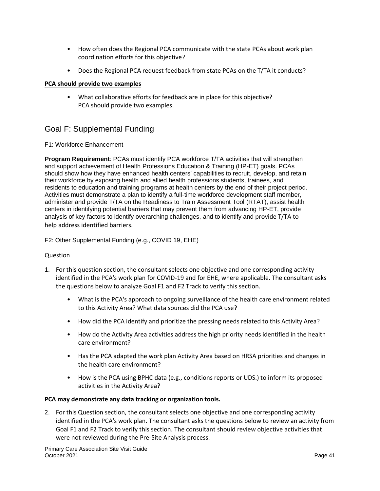- How often does the Regional PCA communicate with the state PCAs about work plan coordination efforts for this objective?
- Does the Regional PCA request feedback from state PCAs on the T/TA it conducts?

#### **PCA should provide two examples**

• What collaborative efforts for feedback are in place for this objective? PCA should provide two examples.

## <span id="page-44-0"></span>Goal F: Supplemental Funding

#### F1: Workforce Enhancement

**Program Requirement**: PCAs must identify PCA workforce T/TA activities that will strengthen and support achievement of Health Professions Education & Training (HP-ET) goals. PCAs should show how they have enhanced health centers' capabilities to recruit, develop, and retain their workforce by exposing health and allied health professions students, trainees, and residents to education and training programs at health centers by the end of their project period. Activities must demonstrate a plan to identify a full-time workforce development staff member, administer and provide T/TA on the Readiness to Train Assessment Tool (RTAT), assist health centers in identifying potential barriers that may prevent them from advancing HP-ET, provide analysis of key factors to identify overarching challenges, and to identify and provide T/TA to help address identified barriers.

F2: Other Supplemental Funding (e.g., COVID 19, EHE)

#### Question

- 1. For this question section, the consultant selects one objective and one corresponding activity identified in the PCA's work plan for COVID-19 and for EHE, where applicable. The consultant asks the questions below to analyze Goal F1 and F2 Track to verify this section.
	- What is the PCA's approach to ongoing surveillance of the health care environment related to this Activity Area? What data sources did the PCA use?
	- How did the PCA identify and prioritize the pressing needs related to this Activity Area?
	- How do the Activity Area activities address the high priority needs identified in the health care environment?
	- Has the PCA adapted the work plan Activity Area based on HRSA priorities and changes in the health care environment?
	- How is the PCA using BPHC data (e.g., conditions reports or UDS.) to inform its proposed activities in the Activity Area?

#### **PCA may demonstrate any data tracking or organization tools.**

2. For this Question section, the consultant selects one objective and one corresponding activity identified in the PCA's work plan. The consultant asks the questions below to review an activity from Goal F1 and F2 Track to verify this section. The consultant should review objective activities that were not reviewed during the Pre-Site Analysis process.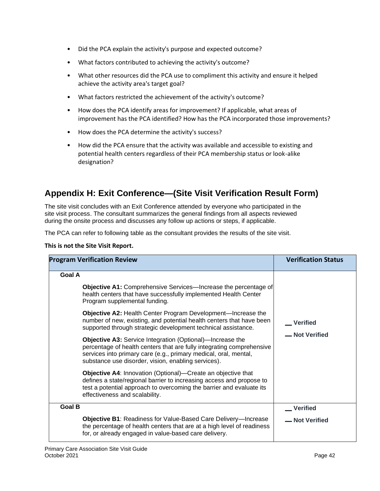- Did the PCA explain the activity's purpose and expected outcome?
- What factors contributed to achieving the activity's outcome?
- What other resources did the PCA use to compliment this activity and ensure it helped achieve the activity area's target goal?
- What factors restricted the achievement of the activity's outcome?
- How does the PCA identify areas for improvement? If applicable, what areas of improvement has the PCA identified? How has the PCA incorporated those improvements?
- How does the PCA determine the activity's success?
- How did the PCA ensure that the activity was available and accessible to existing and potential health centers regardless of their PCA membership status or look-alike designation?

## <span id="page-45-0"></span>**Appendix H: Exit Conference—(Site Visit Verification Result Form)**

The site visit concludes with an Exit Conference attended by everyone who participated in the site visit process. The consultant summarizes the general findings from all aspects reviewed during the onsite process and discusses any follow up actions or steps, if applicable.

The PCA can refer to following table as the consultant provides the results of the site visit.

**This is not the Site Visit Report.** 

| <b>Program Verification Review</b>                                                                                                                                                                                                                                                                                                                                                                                                                                                                                                                                                                                                                                                                                                                                                                                                                                                                                                           | <b>Verification Status</b>        |
|----------------------------------------------------------------------------------------------------------------------------------------------------------------------------------------------------------------------------------------------------------------------------------------------------------------------------------------------------------------------------------------------------------------------------------------------------------------------------------------------------------------------------------------------------------------------------------------------------------------------------------------------------------------------------------------------------------------------------------------------------------------------------------------------------------------------------------------------------------------------------------------------------------------------------------------------|-----------------------------------|
| <b>Goal A</b><br><b>Objective A1:</b> Comprehensive Services—Increase the percentage of<br>health centers that have successfully implemented Health Center<br>Program supplemental funding.<br><b>Objective A2: Health Center Program Development—Increase the</b><br>number of new, existing, and potential health centers that have been<br>supported through strategic development technical assistance.<br><b>Objective A3: Service Integration (Optional)—Increase the</b><br>percentage of health centers that are fully integrating comprehensive<br>services into primary care (e.g., primary medical, oral, mental,<br>substance use disorder, vision, enabling services).<br><b>Objective A4: Innovation (Optional)—Create an objective that</b><br>defines a state/regional barrier to increasing access and propose to<br>test a potential approach to overcoming the barrier and evaluate its<br>effectiveness and scalability. | Verified<br>- Not Verified        |
| <b>Goal B</b><br><b>Objective B1: Readiness for Value-Based Care Delivery-Increase</b>                                                                                                                                                                                                                                                                                                                                                                                                                                                                                                                                                                                                                                                                                                                                                                                                                                                       | <b>Verified</b><br>- Not Verified |
| the percentage of health centers that are at a high level of readiness<br>for, or already engaged in value-based care delivery.                                                                                                                                                                                                                                                                                                                                                                                                                                                                                                                                                                                                                                                                                                                                                                                                              |                                   |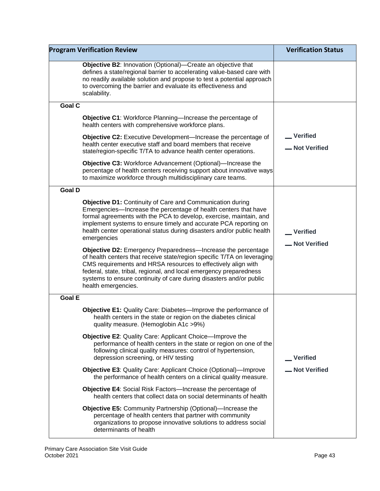| <b>Program Verification Review</b>                                                                                                                                                                                                                                                                                                                                           | <b>Verification Status</b>       |
|------------------------------------------------------------------------------------------------------------------------------------------------------------------------------------------------------------------------------------------------------------------------------------------------------------------------------------------------------------------------------|----------------------------------|
| <b>Objective B2: Innovation (Optional)—Create an objective that</b><br>defines a state/regional barrier to accelerating value-based care with<br>no readily available solution and propose to test a potential approach<br>to overcoming the barrier and evaluate its effectiveness and<br>scalability.                                                                      |                                  |
| <b>Goal C</b>                                                                                                                                                                                                                                                                                                                                                                |                                  |
| Objective C1: Workforce Planning-Increase the percentage of<br>health centers with comprehensive workforce plans.                                                                                                                                                                                                                                                            |                                  |
| <b>Objective C2:</b> Executive Development-Increase the percentage of<br>health center executive staff and board members that receive<br>state/region-specific T/TA to advance health center operations.                                                                                                                                                                     | Verified<br><b>_Not Verified</b> |
| <b>Objective C3: Workforce Advancement (Optional)—Increase the</b><br>percentage of health centers receiving support about innovative ways<br>to maximize workforce through multidisciplinary care teams.                                                                                                                                                                    |                                  |
| <b>Goal D</b>                                                                                                                                                                                                                                                                                                                                                                |                                  |
| <b>Objective D1: Continuity of Care and Communication during</b><br>Emergencies-Increase the percentage of health centers that have<br>formal agreements with the PCA to develop, exercise, maintain, and<br>implement systems to ensure timely and accurate PCA reporting on<br>health center operational status during disasters and/or public health<br>emergencies       | <b>Verified</b><br>-Not Verified |
| Objective D2: Emergency Preparedness-Increase the percentage<br>of health centers that receive state/region specific T/TA on leveraging<br>CMS requirements and HRSA resources to effectively align with<br>federal, state, tribal, regional, and local emergency preparedness<br>systems to ensure continuity of care during disasters and/or public<br>health emergencies. |                                  |
| <b>Goal E</b>                                                                                                                                                                                                                                                                                                                                                                |                                  |
| Objective E1: Quality Care: Diabetes-Improve the performance of<br>health centers in the state or region on the diabetes clinical<br>quality measure. (Hemoglobin A1c >9%)                                                                                                                                                                                                   |                                  |
| <b>Objective E2:</b> Quality Care: Applicant Choice—Improve the<br>performance of health centers in the state or region on one of the<br>following clinical quality measures: control of hypertension,<br>depression screening, or HIV testing                                                                                                                               | Verified                         |
| <b>Objective E3: Quality Care: Applicant Choice (Optional)—Improve</b><br>the performance of health centers on a clinical quality measure.                                                                                                                                                                                                                                   | -Not Verified                    |
| Objective E4: Social Risk Factors-Increase the percentage of<br>health centers that collect data on social determinants of health                                                                                                                                                                                                                                            |                                  |
| <b>Objective E5: Community Partnership (Optional)—Increase the</b><br>percentage of health centers that partner with community<br>organizations to propose innovative solutions to address social<br>determinants of health                                                                                                                                                  |                                  |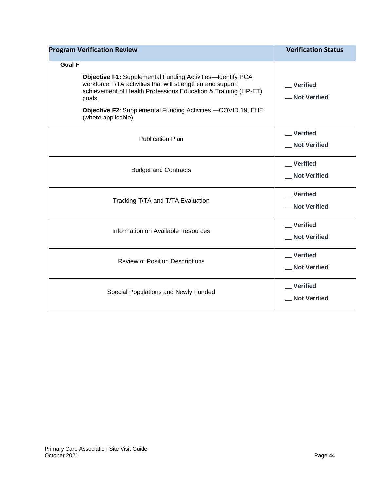| <b>Program Verification Review</b>                                                                                                                                                                                                                                                                                 | <b>Verification Status</b>          |
|--------------------------------------------------------------------------------------------------------------------------------------------------------------------------------------------------------------------------------------------------------------------------------------------------------------------|-------------------------------------|
| <b>Goal F</b><br><b>Objective F1: Supplemental Funding Activities-Identify PCA</b><br>workforce T/TA activities that will strengthen and support<br>achievement of Health Professions Education & Training (HP-ET)<br>goals.<br>Objective F2: Supplemental Funding Activities -COVID 19, EHE<br>(where applicable) | __ Verified<br><b>_Not Verified</b> |
| <b>Publication Plan</b>                                                                                                                                                                                                                                                                                            | _ Verified<br>Not Verified          |
| <b>Budget and Contracts</b>                                                                                                                                                                                                                                                                                        | __Verified<br>_ Not Verified        |
| Tracking T/TA and T/TA Evaluation                                                                                                                                                                                                                                                                                  | _Verified<br>_ Not Verified         |
| Information on Available Resources                                                                                                                                                                                                                                                                                 | Verified<br>_ Not Verified          |
| <b>Review of Position Descriptions</b>                                                                                                                                                                                                                                                                             | Verified<br>Not Verified            |
| Special Populations and Newly Funded                                                                                                                                                                                                                                                                               | _Verified<br>Not Verified           |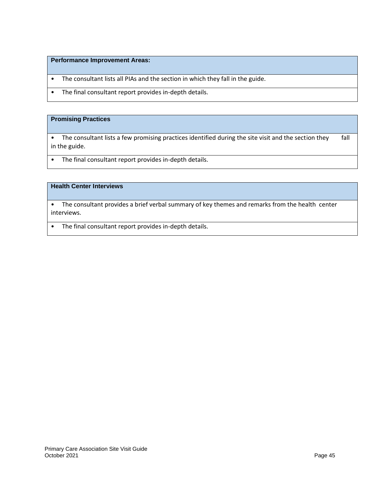#### **Performance Improvement Areas:**

- The consultant lists all PIAs and the section in which they fall in the guide.
- The final consultant report provides in-depth details.

#### **Promising Practices**

• The consultant lists a few promising practices identified during the site visit and the section they fall in the guide.

• The final consultant report provides in-depth details.

#### **Health Center Interviews**

• The consultant provides a brief verbal summary of key themes and remarks from the health center interviews.

• The final consultant report provides in-depth details.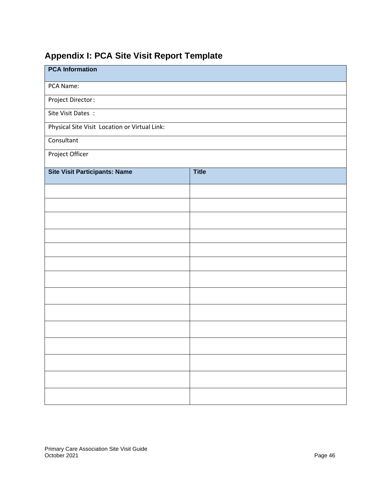## <span id="page-49-0"></span>**Appendix I: PCA Site Visit Report Template**

| <b>PCA Information</b>                        |              |
|-----------------------------------------------|--------------|
| PCA Name:                                     |              |
| Project Director:                             |              |
| Site Visit Dates:                             |              |
| Physical Site Visit Location or Virtual Link: |              |
| Consultant                                    |              |
| Project Officer                               |              |
| <b>Site Visit Participants: Name</b>          | <b>Title</b> |
|                                               |              |
|                                               |              |
|                                               |              |
|                                               |              |
|                                               |              |
|                                               |              |
|                                               |              |
|                                               |              |
|                                               |              |
|                                               |              |
|                                               |              |
|                                               |              |
|                                               |              |
|                                               |              |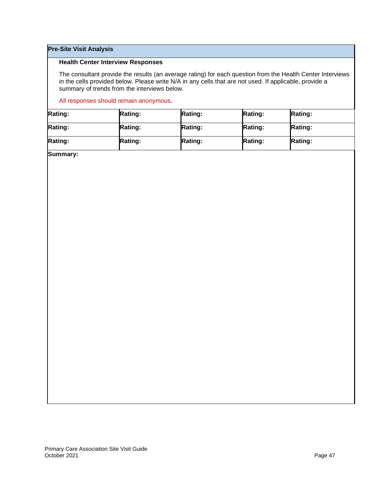#### **Pre-Site Visit Analysis**

#### **Health Center Interview Responses**

The consultant provide the results (an average rating) for each question from the Health Center Interviews in the cells provided below. Please write N/A in any cells that are not used. If applicable, provide a summary of trends from the interviews below.

#### All responses should remain anonymous**.**

| <b>Rating:</b> | <b>Rating:</b> | <b>Rating:</b> | <b>Rating:</b> | <b>Rating:</b> |
|----------------|----------------|----------------|----------------|----------------|
| <b>Rating:</b> | <b>Rating:</b> | <b>Rating:</b> | <b>Rating:</b> | <b>Rating:</b> |
| <b>Rating:</b> | <b>Rating:</b> | <b>Rating:</b> | <b>Rating:</b> | Rating:        |

**Summary:**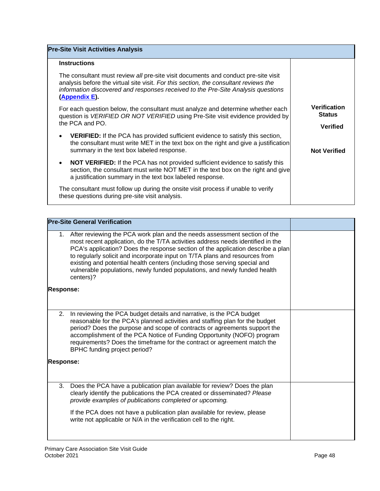| <b>Pre-Site Visit Activities Analysis</b>                                                                                                                                                                                                                                       |                                                         |
|---------------------------------------------------------------------------------------------------------------------------------------------------------------------------------------------------------------------------------------------------------------------------------|---------------------------------------------------------|
| <b>Instructions</b>                                                                                                                                                                                                                                                             |                                                         |
| The consultant must review all pre-site visit documents and conduct pre-site visit<br>analysis before the virtual site visit. For this section, the consultant reviews the<br>information discovered and responses received to the Pre-Site Analysis questions<br>(Appendix E). |                                                         |
| For each question below, the consultant must analyze and determine whether each<br>question is VERIFIED OR NOT VERIFIED using Pre-Site visit evidence provided by<br>the PCA and PO.                                                                                            | <b>Verification</b><br><b>Status</b><br><b>Verified</b> |
| <b>VERIFIED:</b> If the PCA has provided sufficient evidence to satisfy this section,<br>$\bullet$<br>the consultant must write MET in the text box on the right and give a justification<br>summary in the text box labeled response.                                          | <b>Not Verified</b>                                     |
| <b>NOT VERIFIED:</b> If the PCA has not provided sufficient evidence to satisfy this<br>$\bullet$<br>section, the consultant must write NOT MET in the text box on the right and give<br>a justification summary in the text box labeled response.                              |                                                         |
| The consultant must follow up during the onsite visit process if unable to verify<br>these questions during pre-site visit analysis.                                                                                                                                            |                                                         |

|                  | <b>Pre-Site General Verification</b>                                                                                                                                                                                                                                                                                                                                                                                                                                                                   |  |
|------------------|--------------------------------------------------------------------------------------------------------------------------------------------------------------------------------------------------------------------------------------------------------------------------------------------------------------------------------------------------------------------------------------------------------------------------------------------------------------------------------------------------------|--|
| 1.               | After reviewing the PCA work plan and the needs assessment section of the<br>most recent application, do the T/TA activities address needs identified in the<br>PCA's application? Does the response section of the application describe a plan<br>to regularly solicit and incorporate input on T/TA plans and resources from<br>existing and potential health centers (including those serving special and<br>vulnerable populations, newly funded populations, and newly funded health<br>centers)? |  |
| <b>Response:</b> |                                                                                                                                                                                                                                                                                                                                                                                                                                                                                                        |  |
| 2.               | In reviewing the PCA budget details and narrative, is the PCA budget<br>reasonable for the PCA's planned activities and staffing plan for the budget<br>period? Does the purpose and scope of contracts or agreements support the<br>accomplishment of the PCA Notice of Funding Opportunity (NOFO) program<br>requirements? Does the timeframe for the contract or agreement match the<br>BPHC funding project period?                                                                                |  |
| <b>Response:</b> |                                                                                                                                                                                                                                                                                                                                                                                                                                                                                                        |  |
| 3.               | Does the PCA have a publication plan available for review? Does the plan<br>clearly identify the publications the PCA created or disseminated? Please<br>provide examples of publications completed or upcoming.<br>If the PCA does not have a publication plan available for review, please<br>write not applicable or N/A in the verification cell to the right.                                                                                                                                     |  |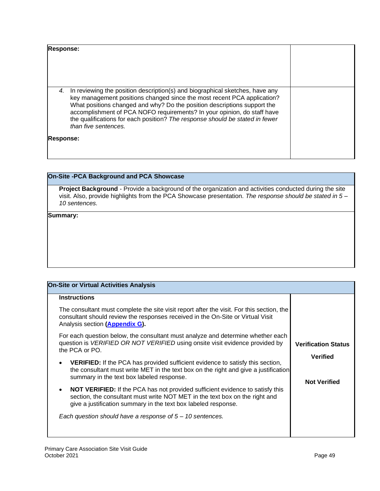| <b>Response:</b> |                                                                                                                                                                                                                                                                                                                                                                                                                        |  |
|------------------|------------------------------------------------------------------------------------------------------------------------------------------------------------------------------------------------------------------------------------------------------------------------------------------------------------------------------------------------------------------------------------------------------------------------|--|
| 4.               | In reviewing the position description(s) and biographical sketches, have any<br>key management positions changed since the most recent PCA application?<br>What positions changed and why? Do the position descriptions support the<br>accomplishment of PCA NOFO requirements? In your opinion, do staff have<br>the qualifications for each position? The response should be stated in fewer<br>than five sentences. |  |
| <b>Response:</b> |                                                                                                                                                                                                                                                                                                                                                                                                                        |  |

#### **On-Site -PCA Background and PCA Showcase**

**Project Background** - Provide a background of the organization and activities conducted during the site visit. Also, provide highlights from the PCA Showcase presentation. *The response should be stated in 5 – 10 sentences.* 

#### **Summary:**

| <b>Instructions</b><br>The consultant must complete the site visit report after the visit. For this section, the<br>consultant should review the responses received in the On-Site or Virtual Visit<br>Analysis section (Appendix G).<br>For each question below, the consultant must analyze and determine whether each<br>question is <i>VERIFIED OR NOT VERIFIED</i> using onsite visit evidence provided by<br><b>Verification Status</b><br>the PCA or PO.<br><b>Verified</b><br><b>VERIFIED:</b> If the PCA has provided sufficient evidence to satisfy this section,<br>the consultant must write MET in the text box on the right and give a justification<br>summary in the text box labeled response.<br><b>Not Verified</b><br><b>NOT VERIFIED:</b> If the PCA has not provided sufficient evidence to satisfy this<br>section, the consultant must write NOT MET in the text box on the right and<br>give a justification summary in the text box labeled response.<br>Each question should have a response of $5 - 10$ sentences. | <b>On-Site or Virtual Activities Analysis</b> |  |
|------------------------------------------------------------------------------------------------------------------------------------------------------------------------------------------------------------------------------------------------------------------------------------------------------------------------------------------------------------------------------------------------------------------------------------------------------------------------------------------------------------------------------------------------------------------------------------------------------------------------------------------------------------------------------------------------------------------------------------------------------------------------------------------------------------------------------------------------------------------------------------------------------------------------------------------------------------------------------------------------------------------------------------------------|-----------------------------------------------|--|
|                                                                                                                                                                                                                                                                                                                                                                                                                                                                                                                                                                                                                                                                                                                                                                                                                                                                                                                                                                                                                                                |                                               |  |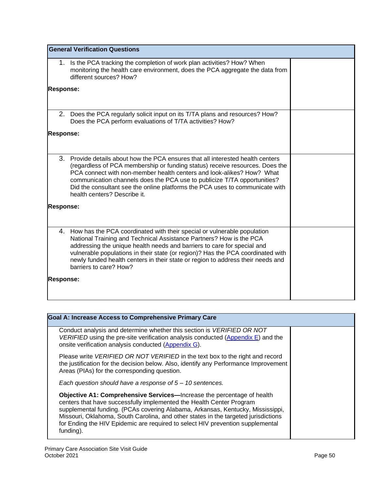|                  | <b>General Verification Questions</b>                                                                                                                                                                                                                                                                                                                                                                                             |  |
|------------------|-----------------------------------------------------------------------------------------------------------------------------------------------------------------------------------------------------------------------------------------------------------------------------------------------------------------------------------------------------------------------------------------------------------------------------------|--|
|                  | 1. Is the PCA tracking the completion of work plan activities? How? When<br>monitoring the health care environment, does the PCA aggregate the data from<br>different sources? How?                                                                                                                                                                                                                                               |  |
| <b>Response:</b> |                                                                                                                                                                                                                                                                                                                                                                                                                                   |  |
|                  | 2. Does the PCA regularly solicit input on its T/TA plans and resources? How?<br>Does the PCA perform evaluations of T/TA activities? How?                                                                                                                                                                                                                                                                                        |  |
| <b>Response:</b> |                                                                                                                                                                                                                                                                                                                                                                                                                                   |  |
| 3.               | Provide details about how the PCA ensures that all interested health centers<br>(regardless of PCA membership or funding status) receive resources. Does the<br>PCA connect with non-member health centers and look-alikes? How? What<br>communication channels does the PCA use to publicize T/TA opportunities?<br>Did the consultant see the online platforms the PCA uses to communicate with<br>health centers? Describe it. |  |
| <b>Response:</b> |                                                                                                                                                                                                                                                                                                                                                                                                                                   |  |
|                  | 4. How has the PCA coordinated with their special or vulnerable population<br>National Training and Technical Assistance Partners? How is the PCA<br>addressing the unique health needs and barriers to care for special and<br>vulnerable populations in their state (or region)? Has the PCA coordinated with<br>newly funded health centers in their state or region to address their needs and<br>barriers to care? How?      |  |
| <b>Response:</b> |                                                                                                                                                                                                                                                                                                                                                                                                                                   |  |

| <b>Goal A: Increase Access to Comprehensive Primary Care</b>                                                                                                                                                                                                                                                                                                                                                                 |  |
|------------------------------------------------------------------------------------------------------------------------------------------------------------------------------------------------------------------------------------------------------------------------------------------------------------------------------------------------------------------------------------------------------------------------------|--|
| Conduct analysis and determine whether this section is VERIFIED OR NOT<br>VERIFIED using the pre-site verification analysis conducted (Appendix $E$ ) and the<br>onsite verification analysis conducted (Appendix G).                                                                                                                                                                                                        |  |
| Please write <i>VERIFIED OR NOT VERIFIED</i> in the text box to the right and record<br>the justification for the decision below. Also, identify any Performance Improvement<br>Areas (PIAs) for the corresponding question.                                                                                                                                                                                                 |  |
| Each question should have a response of $5 - 10$ sentences.                                                                                                                                                                                                                                                                                                                                                                  |  |
| <b>Objective A1: Comprehensive Services—Increase the percentage of health</b><br>centers that have successfully implemented the Health Center Program<br>supplemental funding. (PCAs covering Alabama, Arkansas, Kentucky, Mississippi,<br>Missouri, Oklahoma, South Carolina, and other states in the targeted jurisdictions<br>for Ending the HIV Epidemic are required to select HIV prevention supplemental<br>funding). |  |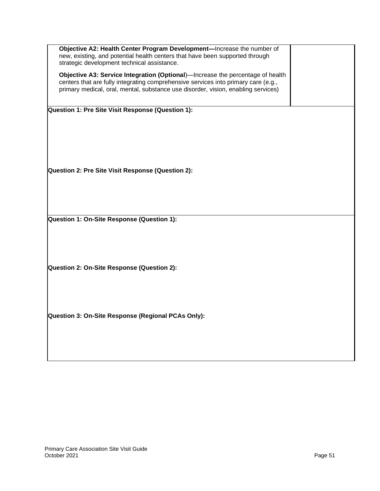| Objective A2: Health Center Program Development-Increase the number of<br>new, existing, and potential health centers that have been supported through<br>strategic development technical assistance.                                                     |  |
|-----------------------------------------------------------------------------------------------------------------------------------------------------------------------------------------------------------------------------------------------------------|--|
| Objective A3: Service Integration (Optional)—Increase the percentage of health<br>centers that are fully integrating comprehensive services into primary care (e.g.,<br>primary medical, oral, mental, substance use disorder, vision, enabling services) |  |
| Question 1: Pre Site Visit Response (Question 1):                                                                                                                                                                                                         |  |
|                                                                                                                                                                                                                                                           |  |
| Question 2: Pre Site Visit Response (Question 2):                                                                                                                                                                                                         |  |
|                                                                                                                                                                                                                                                           |  |
|                                                                                                                                                                                                                                                           |  |
|                                                                                                                                                                                                                                                           |  |
| Question 1: On-Site Response (Question 1):                                                                                                                                                                                                                |  |
|                                                                                                                                                                                                                                                           |  |
| Question 2: On-Site Response (Question 2):                                                                                                                                                                                                                |  |
|                                                                                                                                                                                                                                                           |  |
|                                                                                                                                                                                                                                                           |  |
|                                                                                                                                                                                                                                                           |  |
| Question 3: On-Site Response (Regional PCAs Only):                                                                                                                                                                                                        |  |
|                                                                                                                                                                                                                                                           |  |
|                                                                                                                                                                                                                                                           |  |
|                                                                                                                                                                                                                                                           |  |
|                                                                                                                                                                                                                                                           |  |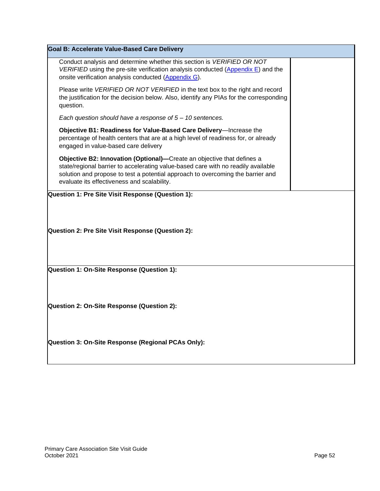| Goal B: Accelerate Value-Based Care Delivery                                                                                                                                                                                                                                                  |  |  |  |
|-----------------------------------------------------------------------------------------------------------------------------------------------------------------------------------------------------------------------------------------------------------------------------------------------|--|--|--|
| Conduct analysis and determine whether this section is VERIFIED OR NOT<br>VERIFIED using the pre-site verification analysis conducted (Appendix $E$ ) and the<br>onsite verification analysis conducted (Appendix G).                                                                         |  |  |  |
| Please write VERIFIED OR NOT VERIFIED in the text box to the right and record<br>the justification for the decision below. Also, identify any PIAs for the corresponding<br>question.                                                                                                         |  |  |  |
| Each question should have a response of $5 - 10$ sentences.                                                                                                                                                                                                                                   |  |  |  |
| Objective B1: Readiness for Value-Based Care Delivery-Increase the<br>percentage of health centers that are at a high level of readiness for, or already<br>engaged in value-based care delivery                                                                                              |  |  |  |
| Objective B2: Innovation (Optional)—Create an objective that defines a<br>state/regional barrier to accelerating value-based care with no readily available<br>solution and propose to test a potential approach to overcoming the barrier and<br>evaluate its effectiveness and scalability. |  |  |  |
| Question 1: Pre Site Visit Response (Question 1):                                                                                                                                                                                                                                             |  |  |  |
| Question 2: Pre Site Visit Response (Question 2):                                                                                                                                                                                                                                             |  |  |  |
| Question 1: On-Site Response (Question 1):                                                                                                                                                                                                                                                    |  |  |  |
| Question 2: On-Site Response (Question 2):                                                                                                                                                                                                                                                    |  |  |  |
| Question 3: On-Site Response (Regional PCAs Only):                                                                                                                                                                                                                                            |  |  |  |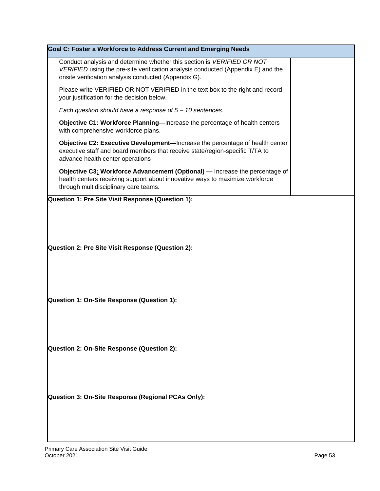| Goal C: Foster a Workforce to Address Current and Emerging Needs                                                                                                                                                   |  |  |  |
|--------------------------------------------------------------------------------------------------------------------------------------------------------------------------------------------------------------------|--|--|--|
| Conduct analysis and determine whether this section is VERIFIED OR NOT<br>VERIFIED using the pre-site verification analysis conducted (Appendix E) and the<br>onsite verification analysis conducted (Appendix G). |  |  |  |
| Please write VERIFIED OR NOT VERIFIED in the text box to the right and record<br>your justification for the decision below.                                                                                        |  |  |  |
| Each question should have a response of $5 - 10$ sentences.                                                                                                                                                        |  |  |  |
| Objective C1: Workforce Planning-Increase the percentage of health centers<br>with comprehensive workforce plans.                                                                                                  |  |  |  |
| Objective C2: Executive Development-Increase the percentage of health center<br>executive staff and board members that receive state/region-specific T/TA to<br>advance health center operations                   |  |  |  |
| Objective C3: Workforce Advancement (Optional) - Increase the percentage of<br>health centers receiving support about innovative ways to maximize workforce<br>through multidisciplinary care teams.               |  |  |  |
| Question 1: Pre Site Visit Response (Question 1):                                                                                                                                                                  |  |  |  |
| Question 2: Pre Site Visit Response (Question 2):                                                                                                                                                                  |  |  |  |
| Question 1: On-Site Response (Question 1):                                                                                                                                                                         |  |  |  |
| Question 2: On-Site Response (Question 2):                                                                                                                                                                         |  |  |  |
| Question 3: On-Site Response (Regional PCAs Only):                                                                                                                                                                 |  |  |  |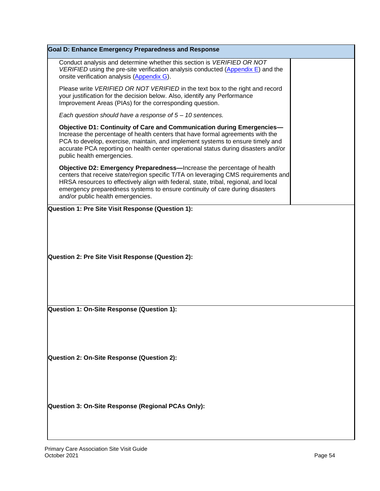| <b>Goal D: Enhance Emergency Preparedness and Response</b>                                                                                                                                                                                                                                                                                                                |  |  |  |  |
|---------------------------------------------------------------------------------------------------------------------------------------------------------------------------------------------------------------------------------------------------------------------------------------------------------------------------------------------------------------------------|--|--|--|--|
| Conduct analysis and determine whether this section is VERIFIED OR NOT<br>VERIFIED using the pre-site verification analysis conducted $(Appendix E)$ and the<br>onsite verification analysis (Appendix G).                                                                                                                                                                |  |  |  |  |
| Please write VERIFIED OR NOT VERIFIED in the text box to the right and record<br>your justification for the decision below. Also, identify any Performance<br>Improvement Areas (PIAs) for the corresponding question.                                                                                                                                                    |  |  |  |  |
| Each question should have a response of $5 - 10$ sentences.                                                                                                                                                                                                                                                                                                               |  |  |  |  |
| Objective D1: Continuity of Care and Communication during Emergencies-<br>Increase the percentage of health centers that have formal agreements with the<br>PCA to develop, exercise, maintain, and implement systems to ensure timely and<br>accurate PCA reporting on health center operational status during disasters and/or<br>public health emergencies.            |  |  |  |  |
| Objective D2: Emergency Preparedness—Increase the percentage of health<br>centers that receive state/region specific T/TA on leveraging CMS requirements and<br>HRSA resources to effectively align with federal, state, tribal, regional, and local<br>emergency preparedness systems to ensure continuity of care during disasters<br>and/or public health emergencies. |  |  |  |  |
| Question 1: Pre Site Visit Response (Question 1):                                                                                                                                                                                                                                                                                                                         |  |  |  |  |
| Question 2: Pre Site Visit Response (Question 2):                                                                                                                                                                                                                                                                                                                         |  |  |  |  |
| Question 1: On-Site Response (Question 1):                                                                                                                                                                                                                                                                                                                                |  |  |  |  |
| Question 2: On-Site Response (Question 2):                                                                                                                                                                                                                                                                                                                                |  |  |  |  |
| Question 3: On-Site Response (Regional PCAs Only):                                                                                                                                                                                                                                                                                                                        |  |  |  |  |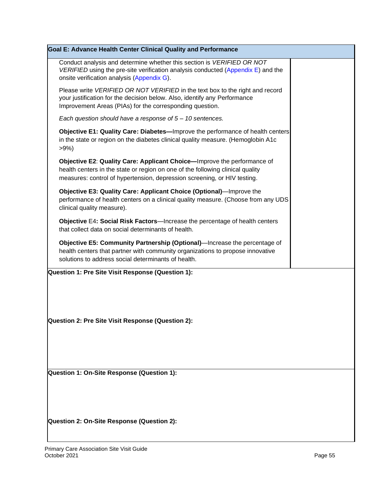| Goal E: Advance Health Center Clinical Quality and Performance                                                                                                                                                                        |  |
|---------------------------------------------------------------------------------------------------------------------------------------------------------------------------------------------------------------------------------------|--|
| Conduct analysis and determine whether this section is VERIFIED OR NOT<br>VERIFIED using the pre-site verification analysis conducted (Appendix E) and the<br>onsite verification analysis (Appendix G).                              |  |
| Please write VERIFIED OR NOT VERIFIED in the text box to the right and record<br>your justification for the decision below. Also, identify any Performance<br>Improvement Areas (PIAs) for the corresponding question.                |  |
| Each question should have a response of $5 - 10$ sentences.                                                                                                                                                                           |  |
| Objective E1: Quality Care: Diabetes-Improve the performance of health centers<br>in the state or region on the diabetes clinical quality measure. (Hemoglobin A1c<br>>9%                                                             |  |
| Objective E2: Quality Care: Applicant Choice-Improve the performance of<br>health centers in the state or region on one of the following clinical quality<br>measures: control of hypertension, depression screening, or HIV testing. |  |
| Objective E3: Quality Care: Applicant Choice (Optional)—Improve the<br>performance of health centers on a clinical quality measure. (Choose from any UDS<br>clinical quality measure).                                                |  |
| Objective E4: Social Risk Factors-Increase the percentage of health centers<br>that collect data on social determinants of health.                                                                                                    |  |
| Objective E5: Community Partnership (Optional)-Increase the percentage of<br>health centers that partner with community organizations to propose innovative<br>solutions to address social determinants of health.                    |  |
| Question 1: Pre Site Visit Response (Question 1):                                                                                                                                                                                     |  |
| Question 2: Pre Site Visit Response (Question 2):                                                                                                                                                                                     |  |
| Question 1: On-Site Response (Question 1):                                                                                                                                                                                            |  |
| Question 2: On-Site Response (Question 2):                                                                                                                                                                                            |  |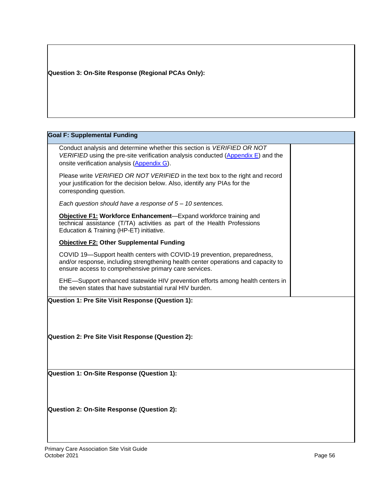## **Question 3: On-Site Response (Regional PCAs Only):**

## **Goal F: Supplemental Funding**

| Conduct analysis and determine whether this section is VERIFIED OR NOT<br>VERIFIED using the pre-site verification analysis conducted (Appendix E) and the<br>onsite verification analysis (Appendix G).              |  |
|-----------------------------------------------------------------------------------------------------------------------------------------------------------------------------------------------------------------------|--|
| Please write VERIFIED OR NOT VERIFIED in the text box to the right and record<br>your justification for the decision below. Also, identify any PIAs for the<br>corresponding question.                                |  |
| Each question should have a response of $5 - 10$ sentences.                                                                                                                                                           |  |
| Objective F1: Workforce Enhancement-Expand workforce training and<br>technical assistance (T/TA) activities as part of the Health Professions<br>Education & Training (HP-ET) initiative.                             |  |
| Objective F2: Other Supplemental Funding                                                                                                                                                                              |  |
| COVID 19—Support health centers with COVID-19 prevention, preparedness,<br>and/or response, including strengthening health center operations and capacity to<br>ensure access to comprehensive primary care services. |  |
| EHE-Support enhanced statewide HIV prevention efforts among health centers in<br>the seven states that have substantial rural HIV burden.                                                                             |  |
| Question 1: Pre Site Visit Response (Question 1):<br>Question 2: Pre Site Visit Response (Question 2):                                                                                                                |  |
| Question 1: On-Site Response (Question 1):                                                                                                                                                                            |  |
| Question 2: On-Site Response (Question 2):                                                                                                                                                                            |  |
|                                                                                                                                                                                                                       |  |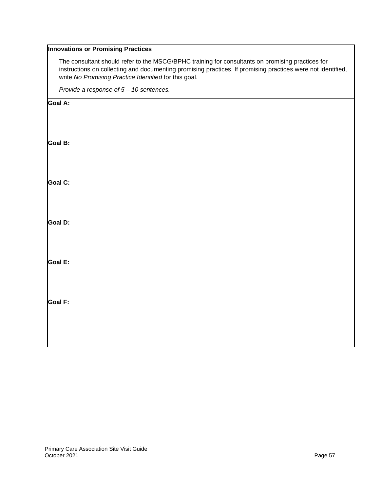### **Innovations or Promising Practices**

The consultant should refer to the MSCG/BPHC training for consultants on promising practices for instructions on collecting and documenting promising practices. If promising practices were not identified, write *No Promising Practice Identified* for this goal.

*Provide a response of 5 – 10 sentences.* 

**Goal A: Goal B: Goal C: Goal D: Goal E: Goal F:**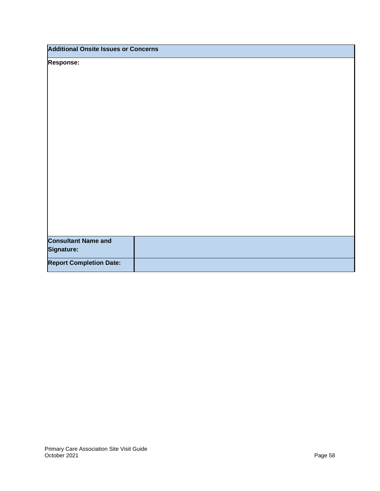| <b>Additional Onsite Issues or Concerns</b> |  |  |  |
|---------------------------------------------|--|--|--|
| <b>Response:</b>                            |  |  |  |
|                                             |  |  |  |
|                                             |  |  |  |
|                                             |  |  |  |
|                                             |  |  |  |
|                                             |  |  |  |
|                                             |  |  |  |
|                                             |  |  |  |
|                                             |  |  |  |
|                                             |  |  |  |
|                                             |  |  |  |
|                                             |  |  |  |
|                                             |  |  |  |
|                                             |  |  |  |
|                                             |  |  |  |
|                                             |  |  |  |
| <b>Consultant Name and</b>                  |  |  |  |
| Signature:                                  |  |  |  |
| <b>Report Completion Date:</b>              |  |  |  |
|                                             |  |  |  |